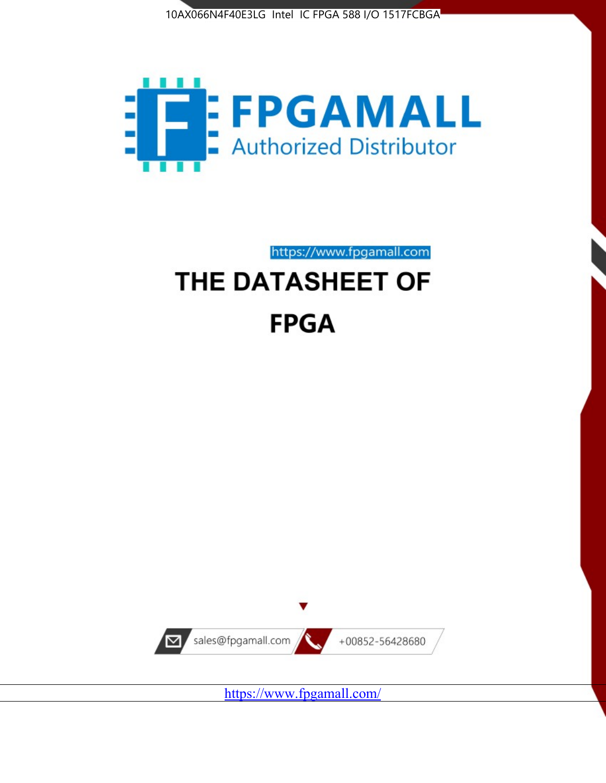



https://www.fpgamall.com

# THE DATASHEET OF **FPGA**



<https://www.fpgamall.com/>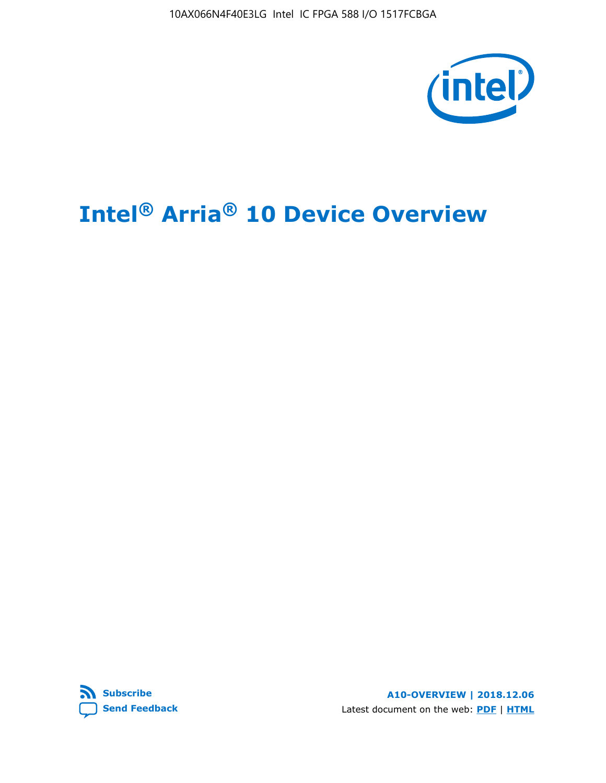10AX066N4F40E3LG Intel IC FPGA 588 I/O 1517FCBGA



# **Intel® Arria® 10 Device Overview**



**A10-OVERVIEW | 2018.12.06** Latest document on the web: **[PDF](https://www.intel.com/content/dam/www/programmable/us/en/pdfs/literature/hb/arria-10/a10_overview.pdf)** | **[HTML](https://www.intel.com/content/www/us/en/programmable/documentation/sam1403480274650.html)**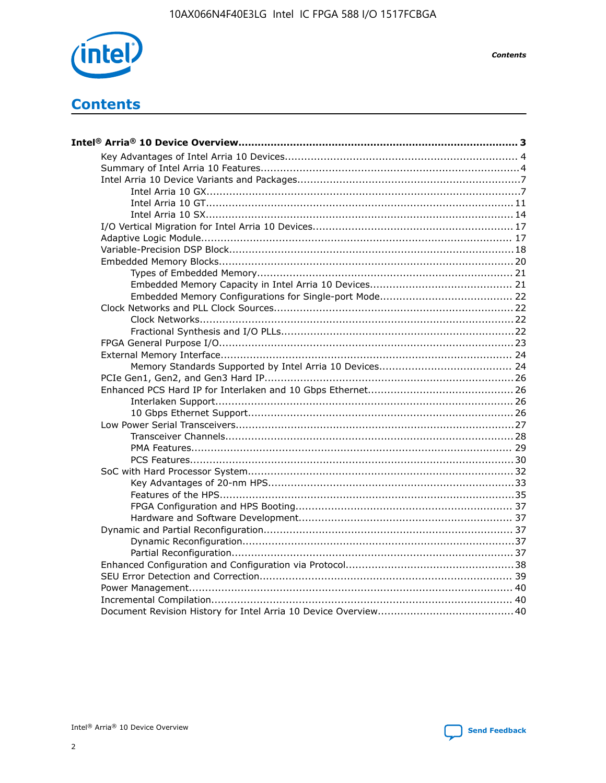

**Contents** 

# **Contents**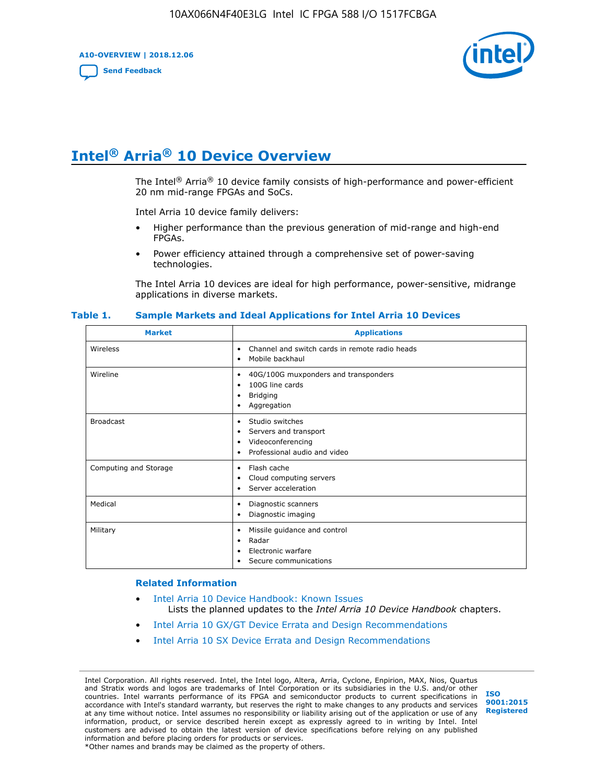**A10-OVERVIEW | 2018.12.06**

**[Send Feedback](mailto:FPGAtechdocfeedback@intel.com?subject=Feedback%20on%20Intel%20Arria%2010%20Device%20Overview%20(A10-OVERVIEW%202018.12.06)&body=We%20appreciate%20your%20feedback.%20In%20your%20comments,%20also%20specify%20the%20page%20number%20or%20paragraph.%20Thank%20you.)**



# **Intel® Arria® 10 Device Overview**

The Intel<sup>®</sup> Arria<sup>®</sup> 10 device family consists of high-performance and power-efficient 20 nm mid-range FPGAs and SoCs.

Intel Arria 10 device family delivers:

- Higher performance than the previous generation of mid-range and high-end FPGAs.
- Power efficiency attained through a comprehensive set of power-saving technologies.

The Intel Arria 10 devices are ideal for high performance, power-sensitive, midrange applications in diverse markets.

| <b>Market</b>         | <b>Applications</b>                                                                                               |
|-----------------------|-------------------------------------------------------------------------------------------------------------------|
| Wireless              | Channel and switch cards in remote radio heads<br>٠<br>Mobile backhaul<br>٠                                       |
| Wireline              | 40G/100G muxponders and transponders<br>٠<br>100G line cards<br>٠<br><b>Bridging</b><br>٠<br>Aggregation<br>٠     |
| <b>Broadcast</b>      | Studio switches<br>٠<br>Servers and transport<br>٠<br>Videoconferencing<br>٠<br>Professional audio and video<br>٠ |
| Computing and Storage | Flash cache<br>٠<br>Cloud computing servers<br>٠<br>Server acceleration<br>٠                                      |
| Medical               | Diagnostic scanners<br>٠<br>Diagnostic imaging<br>٠                                                               |
| Military              | Missile guidance and control<br>٠<br>Radar<br>٠<br>Electronic warfare<br>٠<br>Secure communications<br>٠          |

#### **Table 1. Sample Markets and Ideal Applications for Intel Arria 10 Devices**

#### **Related Information**

- [Intel Arria 10 Device Handbook: Known Issues](http://www.altera.com/support/kdb/solutions/rd07302013_646.html) Lists the planned updates to the *Intel Arria 10 Device Handbook* chapters.
- [Intel Arria 10 GX/GT Device Errata and Design Recommendations](https://www.intel.com/content/www/us/en/programmable/documentation/agz1493851706374.html#yqz1494433888646)
- [Intel Arria 10 SX Device Errata and Design Recommendations](https://www.intel.com/content/www/us/en/programmable/documentation/cru1462832385668.html#cru1462832558642)

Intel Corporation. All rights reserved. Intel, the Intel logo, Altera, Arria, Cyclone, Enpirion, MAX, Nios, Quartus and Stratix words and logos are trademarks of Intel Corporation or its subsidiaries in the U.S. and/or other countries. Intel warrants performance of its FPGA and semiconductor products to current specifications in accordance with Intel's standard warranty, but reserves the right to make changes to any products and services at any time without notice. Intel assumes no responsibility or liability arising out of the application or use of any information, product, or service described herein except as expressly agreed to in writing by Intel. Intel customers are advised to obtain the latest version of device specifications before relying on any published information and before placing orders for products or services. \*Other names and brands may be claimed as the property of others.

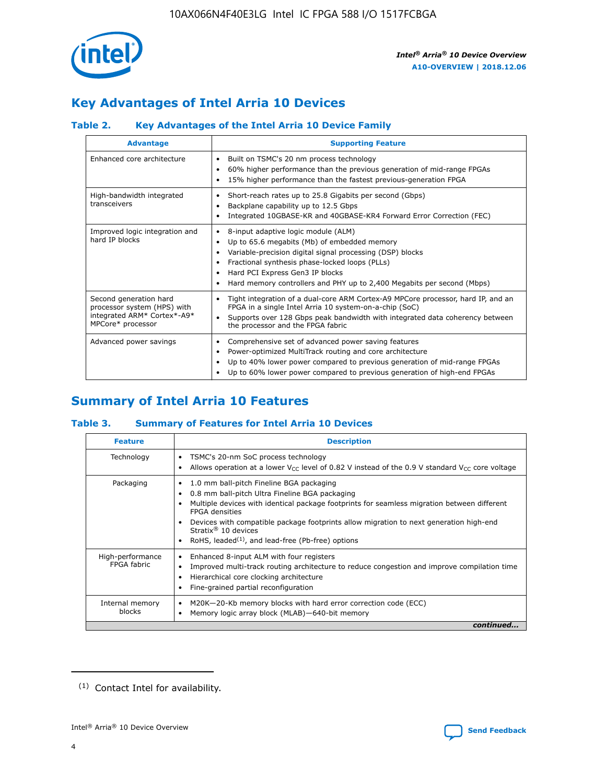

# **Key Advantages of Intel Arria 10 Devices**

## **Table 2. Key Advantages of the Intel Arria 10 Device Family**

| <b>Advantage</b>                                                                                          | <b>Supporting Feature</b>                                                                                                                                                                                                                                                                                                |
|-----------------------------------------------------------------------------------------------------------|--------------------------------------------------------------------------------------------------------------------------------------------------------------------------------------------------------------------------------------------------------------------------------------------------------------------------|
| Enhanced core architecture                                                                                | Built on TSMC's 20 nm process technology<br>٠<br>60% higher performance than the previous generation of mid-range FPGAs<br>٠<br>15% higher performance than the fastest previous-generation FPGA<br>٠                                                                                                                    |
| High-bandwidth integrated<br>transceivers                                                                 | Short-reach rates up to 25.8 Gigabits per second (Gbps)<br>٠<br>Backplane capability up to 12.5 Gbps<br>٠<br>Integrated 10GBASE-KR and 40GBASE-KR4 Forward Error Correction (FEC)<br>٠                                                                                                                                   |
| Improved logic integration and<br>hard IP blocks                                                          | 8-input adaptive logic module (ALM)<br>٠<br>Up to 65.6 megabits (Mb) of embedded memory<br>٠<br>Variable-precision digital signal processing (DSP) blocks<br>Fractional synthesis phase-locked loops (PLLs)<br>Hard PCI Express Gen3 IP blocks<br>Hard memory controllers and PHY up to 2,400 Megabits per second (Mbps) |
| Second generation hard<br>processor system (HPS) with<br>integrated ARM* Cortex*-A9*<br>MPCore* processor | Tight integration of a dual-core ARM Cortex-A9 MPCore processor, hard IP, and an<br>٠<br>FPGA in a single Intel Arria 10 system-on-a-chip (SoC)<br>Supports over 128 Gbps peak bandwidth with integrated data coherency between<br>$\bullet$<br>the processor and the FPGA fabric                                        |
| Advanced power savings                                                                                    | Comprehensive set of advanced power saving features<br>٠<br>Power-optimized MultiTrack routing and core architecture<br>٠<br>Up to 40% lower power compared to previous generation of mid-range FPGAs<br>Up to 60% lower power compared to previous generation of high-end FPGAs                                         |

# **Summary of Intel Arria 10 Features**

## **Table 3. Summary of Features for Intel Arria 10 Devices**

| <b>Feature</b>                  | <b>Description</b>                                                                                                                                                                                                                                                                                                                                                                                       |
|---------------------------------|----------------------------------------------------------------------------------------------------------------------------------------------------------------------------------------------------------------------------------------------------------------------------------------------------------------------------------------------------------------------------------------------------------|
| Technology                      | TSMC's 20-nm SoC process technology<br>٠<br>Allows operation at a lower $V_{\text{CC}}$ level of 0.82 V instead of the 0.9 V standard $V_{\text{CC}}$ core voltage                                                                                                                                                                                                                                       |
| Packaging                       | 1.0 mm ball-pitch Fineline BGA packaging<br>0.8 mm ball-pitch Ultra Fineline BGA packaging<br>Multiple devices with identical package footprints for seamless migration between different<br><b>FPGA</b> densities<br>Devices with compatible package footprints allow migration to next generation high-end<br>Stratix $\mathcal{R}$ 10 devices<br>RoHS, leaded $(1)$ , and lead-free (Pb-free) options |
| High-performance<br>FPGA fabric | Enhanced 8-input ALM with four registers<br>٠<br>Improved multi-track routing architecture to reduce congestion and improve compilation time<br>Hierarchical core clocking architecture<br>Fine-grained partial reconfiguration                                                                                                                                                                          |
| Internal memory<br>blocks       | M20K-20-Kb memory blocks with hard error correction code (ECC)<br>Memory logic array block (MLAB)-640-bit memory                                                                                                                                                                                                                                                                                         |
|                                 | continued                                                                                                                                                                                                                                                                                                                                                                                                |



<sup>(1)</sup> Contact Intel for availability.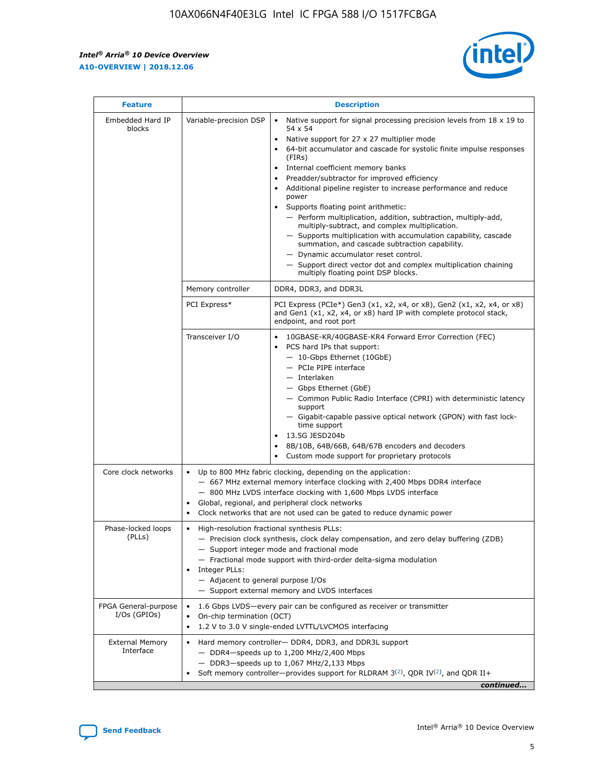$\mathsf{r}$ 



| <b>Feature</b>                         |                                                                                                                | <b>Description</b>                                                                                                                                                                                                                                                                                                                                                                                                                                                                                                                                                                                                                                                                                                                                                                                                                          |
|----------------------------------------|----------------------------------------------------------------------------------------------------------------|---------------------------------------------------------------------------------------------------------------------------------------------------------------------------------------------------------------------------------------------------------------------------------------------------------------------------------------------------------------------------------------------------------------------------------------------------------------------------------------------------------------------------------------------------------------------------------------------------------------------------------------------------------------------------------------------------------------------------------------------------------------------------------------------------------------------------------------------|
| Embedded Hard IP<br>blocks             | Variable-precision DSP                                                                                         | Native support for signal processing precision levels from $18 \times 19$ to<br>$\bullet$<br>54 x 54<br>Native support for 27 x 27 multiplier mode<br>64-bit accumulator and cascade for systolic finite impulse responses<br>(FIRs)<br>Internal coefficient memory banks<br>٠<br>Preadder/subtractor for improved efficiency<br>Additional pipeline register to increase performance and reduce<br>power<br>Supports floating point arithmetic:<br>- Perform multiplication, addition, subtraction, multiply-add,<br>multiply-subtract, and complex multiplication.<br>- Supports multiplication with accumulation capability, cascade<br>summation, and cascade subtraction capability.<br>- Dynamic accumulator reset control.<br>- Support direct vector dot and complex multiplication chaining<br>multiply floating point DSP blocks. |
|                                        | Memory controller                                                                                              | DDR4, DDR3, and DDR3L                                                                                                                                                                                                                                                                                                                                                                                                                                                                                                                                                                                                                                                                                                                                                                                                                       |
|                                        | PCI Express*                                                                                                   | PCI Express (PCIe*) Gen3 (x1, x2, x4, or x8), Gen2 (x1, x2, x4, or x8)<br>and Gen1 (x1, x2, x4, or x8) hard IP with complete protocol stack,<br>endpoint, and root port                                                                                                                                                                                                                                                                                                                                                                                                                                                                                                                                                                                                                                                                     |
|                                        | Transceiver I/O                                                                                                | 10GBASE-KR/40GBASE-KR4 Forward Error Correction (FEC)<br>PCS hard IPs that support:<br>- 10-Gbps Ethernet (10GbE)<br>- PCIe PIPE interface<br>- Interlaken<br>- Gbps Ethernet (GbE)<br>- Common Public Radio Interface (CPRI) with deterministic latency<br>support<br>- Gigabit-capable passive optical network (GPON) with fast lock-<br>time support<br>13.5G JESD204b<br>$\bullet$<br>8B/10B, 64B/66B, 64B/67B encoders and decoders<br>Custom mode support for proprietary protocols                                                                                                                                                                                                                                                                                                                                                   |
| Core clock networks                    | $\bullet$<br>$\bullet$                                                                                         | Up to 800 MHz fabric clocking, depending on the application:<br>- 667 MHz external memory interface clocking with 2,400 Mbps DDR4 interface<br>- 800 MHz LVDS interface clocking with 1,600 Mbps LVDS interface<br>Global, regional, and peripheral clock networks<br>Clock networks that are not used can be gated to reduce dynamic power                                                                                                                                                                                                                                                                                                                                                                                                                                                                                                 |
| Phase-locked loops<br>(PLLs)           | High-resolution fractional synthesis PLLs:<br>$\bullet$<br>Integer PLLs:<br>- Adjacent to general purpose I/Os | - Precision clock synthesis, clock delay compensation, and zero delay buffering (ZDB)<br>- Support integer mode and fractional mode<br>- Fractional mode support with third-order delta-sigma modulation<br>- Support external memory and LVDS interfaces                                                                                                                                                                                                                                                                                                                                                                                                                                                                                                                                                                                   |
| FPGA General-purpose<br>$I/Os$ (GPIOs) | On-chip termination (OCT)<br>$\bullet$                                                                         | 1.6 Gbps LVDS-every pair can be configured as receiver or transmitter<br>1.2 V to 3.0 V single-ended LVTTL/LVCMOS interfacing                                                                                                                                                                                                                                                                                                                                                                                                                                                                                                                                                                                                                                                                                                               |
| <b>External Memory</b><br>Interface    |                                                                                                                | Hard memory controller- DDR4, DDR3, and DDR3L support<br>$-$ DDR4 $-$ speeds up to 1,200 MHz/2,400 Mbps<br>- DDR3-speeds up to 1,067 MHz/2,133 Mbps<br>Soft memory controller—provides support for RLDRAM $3^{(2)}$ , QDR IV $(2^2)$ , and QDR II+<br>continued                                                                                                                                                                                                                                                                                                                                                                                                                                                                                                                                                                             |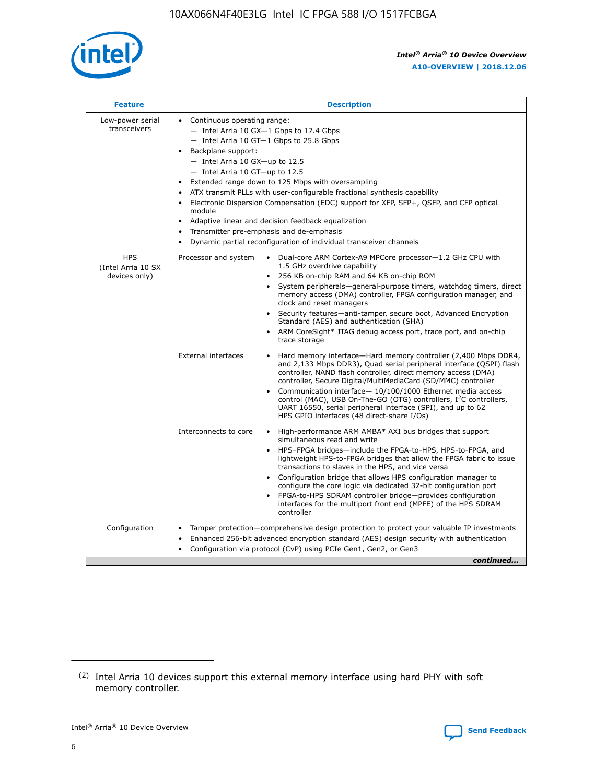

| <b>Feature</b>                                    | <b>Description</b>                                                                                                                                                                                                                                                                                                                                                                                                                                                                                                                                                                                                                                                        |
|---------------------------------------------------|---------------------------------------------------------------------------------------------------------------------------------------------------------------------------------------------------------------------------------------------------------------------------------------------------------------------------------------------------------------------------------------------------------------------------------------------------------------------------------------------------------------------------------------------------------------------------------------------------------------------------------------------------------------------------|
| Low-power serial<br>transceivers                  | • Continuous operating range:<br>- Intel Arria 10 GX-1 Gbps to 17.4 Gbps<br>$-$ Intel Arria 10 GT $-1$ Gbps to 25.8 Gbps<br>Backplane support:<br>$\bullet$<br>$-$ Intel Arria 10 GX-up to 12.5<br>$-$ Intel Arria 10 GT-up to 12.5<br>Extended range down to 125 Mbps with oversampling<br>ATX transmit PLLs with user-configurable fractional synthesis capability<br>Electronic Dispersion Compensation (EDC) support for XFP, SFP+, OSFP, and CFP optical<br>module<br>Adaptive linear and decision feedback equalization<br>$\bullet$<br>Transmitter pre-emphasis and de-emphasis<br>$\bullet$<br>Dynamic partial reconfiguration of individual transceiver channels |
| <b>HPS</b><br>(Intel Arria 10 SX<br>devices only) | Dual-core ARM Cortex-A9 MPCore processor-1.2 GHz CPU with<br>Processor and system<br>$\bullet$<br>1.5 GHz overdrive capability<br>256 KB on-chip RAM and 64 KB on-chip ROM<br>System peripherals-general-purpose timers, watchdog timers, direct<br>memory access (DMA) controller, FPGA configuration manager, and<br>clock and reset managers<br>• Security features—anti-tamper, secure boot, Advanced Encryption<br>Standard (AES) and authentication (SHA)<br>ARM CoreSight* JTAG debug access port, trace port, and on-chip<br>$\bullet$<br>trace storage                                                                                                           |
|                                                   | <b>External interfaces</b><br>Hard memory interface—Hard memory controller (2,400 Mbps DDR4,<br>and 2,133 Mbps DDR3), Quad serial peripheral interface (QSPI) flash<br>controller, NAND flash controller, direct memory access (DMA)<br>controller, Secure Digital/MultiMediaCard (SD/MMC) controller<br>Communication interface-10/100/1000 Ethernet media access<br>$\bullet$<br>control (MAC), USB On-The-GO (OTG) controllers, I <sup>2</sup> C controllers,<br>UART 16550, serial peripheral interface (SPI), and up to 62<br>HPS GPIO interfaces (48 direct-share I/Os)                                                                                             |
|                                                   | Interconnects to core<br>• High-performance ARM AMBA* AXI bus bridges that support<br>simultaneous read and write<br>HPS-FPGA bridges-include the FPGA-to-HPS, HPS-to-FPGA, and<br>$\bullet$<br>lightweight HPS-to-FPGA bridges that allow the FPGA fabric to issue<br>transactions to slaves in the HPS, and vice versa<br>Configuration bridge that allows HPS configuration manager to<br>configure the core logic via dedicated 32-bit configuration port<br>FPGA-to-HPS SDRAM controller bridge-provides configuration<br>interfaces for the multiport front end (MPFE) of the HPS SDRAM<br>controller                                                               |
| Configuration                                     | Tamper protection—comprehensive design protection to protect your valuable IP investments<br>Enhanced 256-bit advanced encryption standard (AES) design security with authentication<br>$\bullet$<br>Configuration via protocol (CvP) using PCIe Gen1, Gen2, or Gen3<br>continued                                                                                                                                                                                                                                                                                                                                                                                         |



<sup>(2)</sup> Intel Arria 10 devices support this external memory interface using hard PHY with soft memory controller.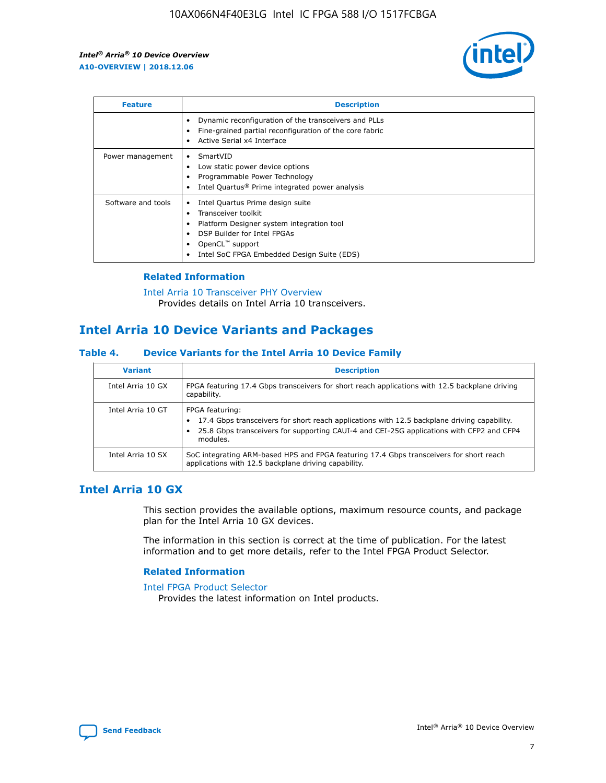

| <b>Feature</b>     | <b>Description</b>                                                                                                                                                                                               |
|--------------------|------------------------------------------------------------------------------------------------------------------------------------------------------------------------------------------------------------------|
|                    | Dynamic reconfiguration of the transceivers and PLLs<br>Fine-grained partial reconfiguration of the core fabric<br>Active Serial x4 Interface<br>$\bullet$                                                       |
| Power management   | SmartVID<br>Low static power device options<br>Programmable Power Technology<br>Intel Quartus <sup>®</sup> Prime integrated power analysis                                                                       |
| Software and tools | Intel Quartus Prime design suite<br>Transceiver toolkit<br>Platform Designer system integration tool<br>DSP Builder for Intel FPGAs<br>OpenCL <sup>™</sup> support<br>Intel SoC FPGA Embedded Design Suite (EDS) |

## **Related Information**

[Intel Arria 10 Transceiver PHY Overview](https://www.intel.com/content/www/us/en/programmable/documentation/nik1398707230472.html#nik1398706768037) Provides details on Intel Arria 10 transceivers.

# **Intel Arria 10 Device Variants and Packages**

#### **Table 4. Device Variants for the Intel Arria 10 Device Family**

| <b>Variant</b>    | <b>Description</b>                                                                                                                                                                                                     |
|-------------------|------------------------------------------------------------------------------------------------------------------------------------------------------------------------------------------------------------------------|
| Intel Arria 10 GX | FPGA featuring 17.4 Gbps transceivers for short reach applications with 12.5 backplane driving<br>capability.                                                                                                          |
| Intel Arria 10 GT | FPGA featuring:<br>17.4 Gbps transceivers for short reach applications with 12.5 backplane driving capability.<br>25.8 Gbps transceivers for supporting CAUI-4 and CEI-25G applications with CFP2 and CFP4<br>modules. |
| Intel Arria 10 SX | SoC integrating ARM-based HPS and FPGA featuring 17.4 Gbps transceivers for short reach<br>applications with 12.5 backplane driving capability.                                                                        |

# **Intel Arria 10 GX**

This section provides the available options, maximum resource counts, and package plan for the Intel Arria 10 GX devices.

The information in this section is correct at the time of publication. For the latest information and to get more details, refer to the Intel FPGA Product Selector.

#### **Related Information**

#### [Intel FPGA Product Selector](http://www.altera.com/products/selector/psg-selector.html) Provides the latest information on Intel products.

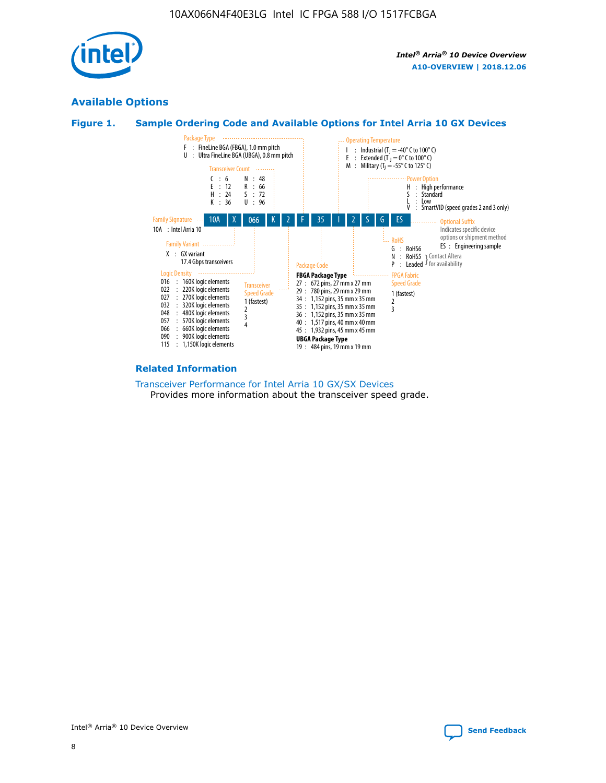

# **Available Options**





#### **Related Information**

[Transceiver Performance for Intel Arria 10 GX/SX Devices](https://www.intel.com/content/www/us/en/programmable/documentation/mcn1413182292568.html#mcn1413213965502) Provides more information about the transceiver speed grade.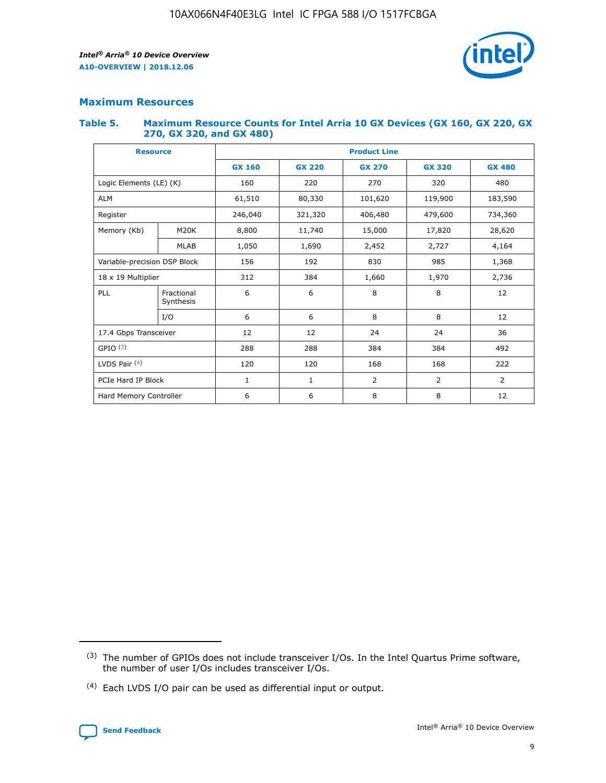

# **Maximum Resources**

#### **Table 5. Maximum Resource Counts for Intel Arria 10 GX Devices (GX 160, GX 220, GX 270, GX 320, and GX 480)**

| <b>Resource</b>              |                         | <b>Product Line</b> |                                                 |                |                |                |  |  |
|------------------------------|-------------------------|---------------------|-------------------------------------------------|----------------|----------------|----------------|--|--|
|                              |                         | <b>GX 160</b>       | <b>GX 220</b><br><b>GX 270</b><br><b>GX 320</b> |                |                | <b>GX 480</b>  |  |  |
| Logic Elements (LE) (K)      |                         | 160                 | 220                                             | 270            | 320            | 480            |  |  |
| <b>ALM</b>                   |                         | 61,510              | 80,330                                          | 101,620        | 119,900        | 183,590        |  |  |
| Register                     |                         | 246,040             | 406,480<br>479,600<br>321,320                   |                |                | 734,360        |  |  |
| Memory (Kb)                  | M <sub>20</sub> K       | 8,800               | 11,740                                          | 15,000         | 17,820         | 28,620         |  |  |
|                              | <b>MLAB</b>             | 1,050               | 1,690                                           | 2,452<br>2,727 |                | 4,164          |  |  |
| Variable-precision DSP Block |                         | 156                 | 192                                             | 830            | 985            |                |  |  |
| 18 x 19 Multiplier           |                         | 312                 | 384                                             | 1,660<br>1,970 |                | 2,736          |  |  |
| PLL                          | Fractional<br>Synthesis | 6                   | 6                                               | 8              | 8              | 12             |  |  |
|                              | I/O                     | 6                   | 6                                               | 8              | 8              | 12             |  |  |
| 17.4 Gbps Transceiver        |                         | 12                  | 12                                              | 24             | 24             | 36             |  |  |
| GPIO <sup>(3)</sup>          |                         | 288                 | 288                                             | 384            | 384            | 492            |  |  |
| LVDS Pair $(4)$              |                         | 120                 | 120                                             | 168            | 168            | 222            |  |  |
| PCIe Hard IP Block           |                         | $\mathbf{1}$        | 1                                               | $\overline{2}$ | $\overline{2}$ | $\overline{2}$ |  |  |
| Hard Memory Controller       |                         | 6                   | 6                                               | 8              | 8              | 12             |  |  |

<sup>(4)</sup> Each LVDS I/O pair can be used as differential input or output.



<sup>(3)</sup> The number of GPIOs does not include transceiver I/Os. In the Intel Quartus Prime software, the number of user I/Os includes transceiver I/Os.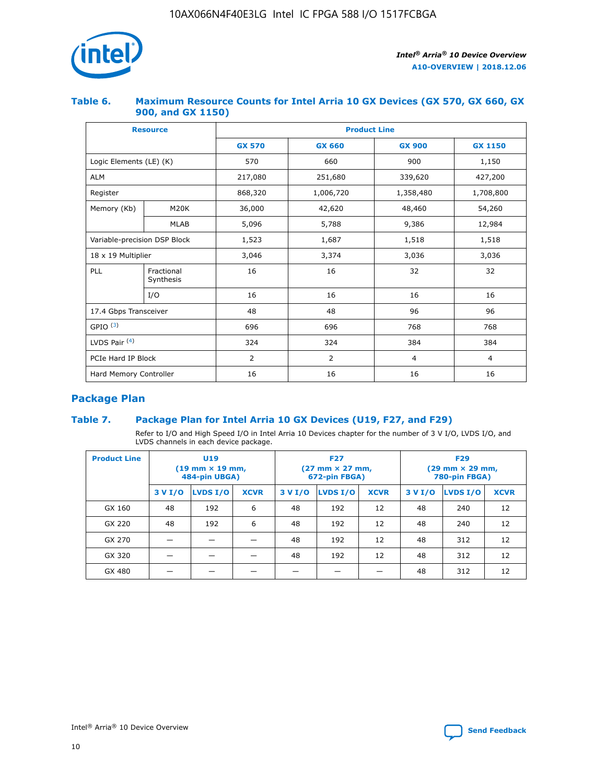

## **Table 6. Maximum Resource Counts for Intel Arria 10 GX Devices (GX 570, GX 660, GX 900, and GX 1150)**

|                              | <b>Resource</b>         | <b>Product Line</b> |                |                |                |  |  |  |
|------------------------------|-------------------------|---------------------|----------------|----------------|----------------|--|--|--|
|                              |                         | <b>GX 570</b>       | <b>GX 660</b>  | <b>GX 900</b>  | <b>GX 1150</b> |  |  |  |
| Logic Elements (LE) (K)      |                         | 570                 | 660            | 900            | 1,150          |  |  |  |
| <b>ALM</b>                   |                         | 217,080             | 251,680        | 339,620        | 427,200        |  |  |  |
| Register                     |                         | 868,320             | 1,006,720      | 1,358,480      | 1,708,800      |  |  |  |
| Memory (Kb)                  | <b>M20K</b>             | 36,000              | 42,620         | 48,460         | 54,260         |  |  |  |
|                              | <b>MLAB</b>             | 5,096               | 5,788          | 9,386          | 12,984         |  |  |  |
| Variable-precision DSP Block |                         | 1,523               | 1,687          | 1,518          | 1,518          |  |  |  |
| 18 x 19 Multiplier           |                         | 3,046               | 3,374          | 3,036          | 3,036          |  |  |  |
| PLL                          | Fractional<br>Synthesis | 16                  | 16             | 32             | 32             |  |  |  |
|                              | I/O                     | 16                  | 16             | 16             | 16             |  |  |  |
| 17.4 Gbps Transceiver        |                         | 48                  | 48             | 96             | 96             |  |  |  |
| GPIO <sup>(3)</sup>          |                         | 696                 | 696            | 768            | 768            |  |  |  |
| LVDS Pair $(4)$              |                         | 324                 | 324            | 384            | 384            |  |  |  |
| PCIe Hard IP Block           |                         | 2                   | $\overline{2}$ | $\overline{4}$ | $\overline{4}$ |  |  |  |
| Hard Memory Controller       |                         | 16                  | 16             | 16             | 16             |  |  |  |

# **Package Plan**

## **Table 7. Package Plan for Intel Arria 10 GX Devices (U19, F27, and F29)**

Refer to I/O and High Speed I/O in Intel Arria 10 Devices chapter for the number of 3 V I/O, LVDS I/O, and LVDS channels in each device package.

| <b>Product Line</b> | U <sub>19</sub><br>$(19 \text{ mm} \times 19 \text{ mm})$<br>484-pin UBGA) |          |             |         | <b>F27</b><br>(27 mm × 27 mm,<br>672-pin FBGA) |             | <b>F29</b><br>(29 mm × 29 mm,<br>780-pin FBGA) |          |             |  |
|---------------------|----------------------------------------------------------------------------|----------|-------------|---------|------------------------------------------------|-------------|------------------------------------------------|----------|-------------|--|
|                     | 3 V I/O                                                                    | LVDS I/O | <b>XCVR</b> | 3 V I/O | <b>LVDS I/O</b>                                | <b>XCVR</b> | 3 V I/O                                        | LVDS I/O | <b>XCVR</b> |  |
| GX 160              | 48                                                                         | 192      | 6           | 48      | 192                                            | 12          | 48                                             | 240      | 12          |  |
| GX 220              | 48                                                                         | 192      | 6           | 48      | 192                                            | 12          | 48                                             | 240      | 12          |  |
| GX 270              |                                                                            |          |             | 48      | 192                                            | 12          | 48                                             | 312      | 12          |  |
| GX 320              |                                                                            |          |             | 48      | 192                                            | 12          | 48                                             | 312      | 12          |  |
| GX 480              |                                                                            |          |             |         |                                                |             | 48                                             | 312      | 12          |  |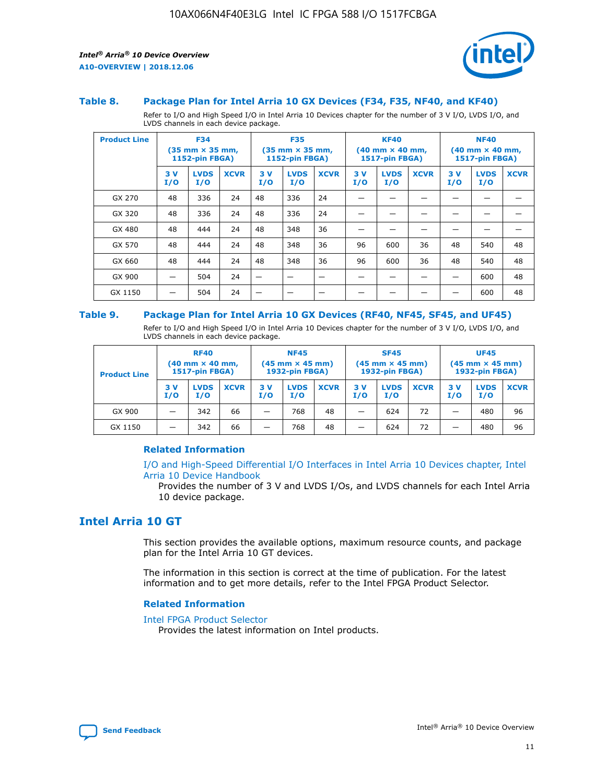

#### **Table 8. Package Plan for Intel Arria 10 GX Devices (F34, F35, NF40, and KF40)**

Refer to I/O and High Speed I/O in Intel Arria 10 Devices chapter for the number of 3 V I/O, LVDS I/O, and LVDS channels in each device package.

| <b>Product Line</b> | <b>F34</b><br>$(35 \text{ mm} \times 35 \text{ mm})$<br>1152-pin FBGA) |                    | <b>F35</b><br>$(35 \text{ mm} \times 35 \text{ mm})$<br><b>1152-pin FBGA)</b> |           | <b>KF40</b><br>$(40$ mm $\times$ 40 mm,<br>1517-pin FBGA) |             |           | <b>NF40</b><br>$(40$ mm $\times$ 40 mm,<br><b>1517-pin FBGA)</b> |             |            |                    |             |
|---------------------|------------------------------------------------------------------------|--------------------|-------------------------------------------------------------------------------|-----------|-----------------------------------------------------------|-------------|-----------|------------------------------------------------------------------|-------------|------------|--------------------|-------------|
|                     | 3V<br>I/O                                                              | <b>LVDS</b><br>I/O | <b>XCVR</b>                                                                   | 3V<br>I/O | <b>LVDS</b><br>I/O                                        | <b>XCVR</b> | 3V<br>I/O | <b>LVDS</b><br>I/O                                               | <b>XCVR</b> | 3 V<br>I/O | <b>LVDS</b><br>I/O | <b>XCVR</b> |
| GX 270              | 48                                                                     | 336                | 24                                                                            | 48        | 336                                                       | 24          |           |                                                                  |             |            |                    |             |
| GX 320              | 48                                                                     | 336                | 24                                                                            | 48        | 336                                                       | 24          |           |                                                                  |             |            |                    |             |
| GX 480              | 48                                                                     | 444                | 24                                                                            | 48        | 348                                                       | 36          |           |                                                                  |             |            |                    |             |
| GX 570              | 48                                                                     | 444                | 24                                                                            | 48        | 348                                                       | 36          | 96        | 600                                                              | 36          | 48         | 540                | 48          |
| GX 660              | 48                                                                     | 444                | 24                                                                            | 48        | 348                                                       | 36          | 96        | 600                                                              | 36          | 48         | 540                | 48          |
| GX 900              |                                                                        | 504                | 24                                                                            | -         |                                                           |             |           |                                                                  |             |            | 600                | 48          |
| GX 1150             |                                                                        | 504                | 24                                                                            |           |                                                           |             |           |                                                                  |             |            | 600                | 48          |

#### **Table 9. Package Plan for Intel Arria 10 GX Devices (RF40, NF45, SF45, and UF45)**

Refer to I/O and High Speed I/O in Intel Arria 10 Devices chapter for the number of 3 V I/O, LVDS I/O, and LVDS channels in each device package.

| <b>Product Line</b> | <b>RF40</b><br>$(40$ mm $\times$ 40 mm,<br>1517-pin FBGA) |                    | <b>NF45</b><br>$(45 \text{ mm} \times 45 \text{ mm})$<br><b>1932-pin FBGA)</b> |            |                    | <b>SF45</b><br>$(45 \text{ mm} \times 45 \text{ mm})$<br><b>1932-pin FBGA)</b> |            |                    | <b>UF45</b><br>$(45 \text{ mm} \times 45 \text{ mm})$<br><b>1932-pin FBGA)</b> |           |                    |             |
|---------------------|-----------------------------------------------------------|--------------------|--------------------------------------------------------------------------------|------------|--------------------|--------------------------------------------------------------------------------|------------|--------------------|--------------------------------------------------------------------------------|-----------|--------------------|-------------|
|                     | 3V<br>I/O                                                 | <b>LVDS</b><br>I/O | <b>XCVR</b>                                                                    | 3 V<br>I/O | <b>LVDS</b><br>I/O | <b>XCVR</b>                                                                    | 3 V<br>I/O | <b>LVDS</b><br>I/O | <b>XCVR</b>                                                                    | 3V<br>I/O | <b>LVDS</b><br>I/O | <b>XCVR</b> |
| GX 900              |                                                           | 342                | 66                                                                             | _          | 768                | 48                                                                             |            | 624                | 72                                                                             |           | 480                | 96          |
| GX 1150             |                                                           | 342                | 66                                                                             | _          | 768                | 48                                                                             |            | 624                | 72                                                                             |           | 480                | 96          |

#### **Related Information**

[I/O and High-Speed Differential I/O Interfaces in Intel Arria 10 Devices chapter, Intel](https://www.intel.com/content/www/us/en/programmable/documentation/sam1403482614086.html#sam1403482030321) [Arria 10 Device Handbook](https://www.intel.com/content/www/us/en/programmable/documentation/sam1403482614086.html#sam1403482030321)

Provides the number of 3 V and LVDS I/Os, and LVDS channels for each Intel Arria 10 device package.

# **Intel Arria 10 GT**

This section provides the available options, maximum resource counts, and package plan for the Intel Arria 10 GT devices.

The information in this section is correct at the time of publication. For the latest information and to get more details, refer to the Intel FPGA Product Selector.

#### **Related Information**

#### [Intel FPGA Product Selector](http://www.altera.com/products/selector/psg-selector.html)

Provides the latest information on Intel products.

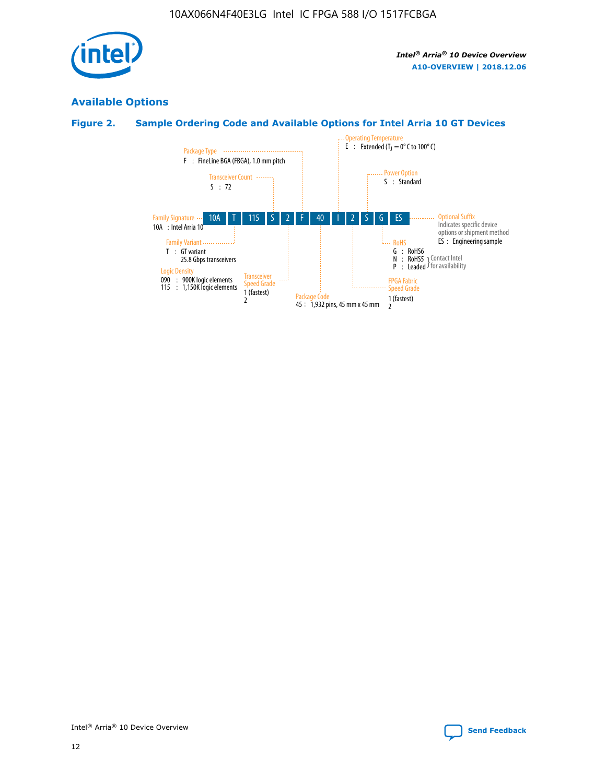

# **Available Options**

# **Figure 2. Sample Ordering Code and Available Options for Intel Arria 10 GT Devices**

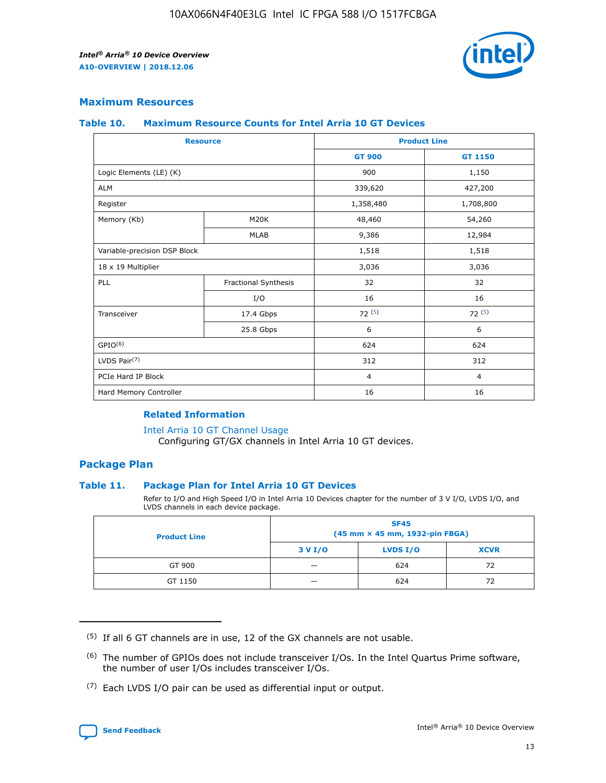

## **Maximum Resources**

#### **Table 10. Maximum Resource Counts for Intel Arria 10 GT Devices**

| <b>Resource</b>              |                      |                | <b>Product Line</b> |  |
|------------------------------|----------------------|----------------|---------------------|--|
|                              |                      | <b>GT 900</b>  | <b>GT 1150</b>      |  |
| Logic Elements (LE) (K)      |                      | 900            | 1,150               |  |
| <b>ALM</b>                   |                      | 339,620        | 427,200             |  |
| Register                     |                      | 1,358,480      | 1,708,800           |  |
| Memory (Kb)                  | M20K                 | 48,460         | 54,260              |  |
|                              | <b>MLAB</b>          | 9,386          | 12,984              |  |
| Variable-precision DSP Block |                      | 1,518          | 1,518               |  |
| 18 x 19 Multiplier           |                      | 3,036          | 3,036               |  |
| <b>PLL</b>                   | Fractional Synthesis | 32             | 32                  |  |
|                              | I/O                  | 16             | 16                  |  |
| Transceiver                  | 17.4 Gbps            | 72(5)          | 72(5)               |  |
|                              | 25.8 Gbps            | 6              | 6                   |  |
| GPIO <sup>(6)</sup>          |                      | 624            | 624                 |  |
| LVDS Pair $(7)$              |                      | 312            | 312                 |  |
| PCIe Hard IP Block           |                      | $\overline{4}$ | $\overline{4}$      |  |
| Hard Memory Controller       |                      | 16             | 16                  |  |

#### **Related Information**

#### [Intel Arria 10 GT Channel Usage](https://www.intel.com/content/www/us/en/programmable/documentation/nik1398707230472.html#nik1398707008178)

Configuring GT/GX channels in Intel Arria 10 GT devices.

## **Package Plan**

#### **Table 11. Package Plan for Intel Arria 10 GT Devices**

Refer to I/O and High Speed I/O in Intel Arria 10 Devices chapter for the number of 3 V I/O, LVDS I/O, and LVDS channels in each device package.

| <b>Product Line</b> | <b>SF45</b><br>(45 mm × 45 mm, 1932-pin FBGA) |                 |             |  |  |  |
|---------------------|-----------------------------------------------|-----------------|-------------|--|--|--|
|                     | 3 V I/O                                       | <b>LVDS I/O</b> | <b>XCVR</b> |  |  |  |
| GT 900              |                                               | 624             | 72          |  |  |  |
| GT 1150             |                                               | 624             |             |  |  |  |

<sup>(7)</sup> Each LVDS I/O pair can be used as differential input or output.



 $(5)$  If all 6 GT channels are in use, 12 of the GX channels are not usable.

<sup>(6)</sup> The number of GPIOs does not include transceiver I/Os. In the Intel Quartus Prime software, the number of user I/Os includes transceiver I/Os.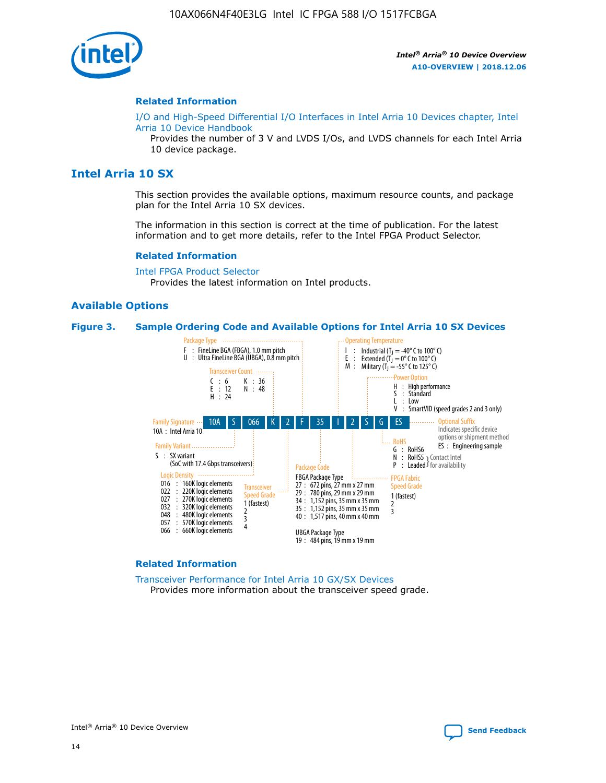

#### **Related Information**

[I/O and High-Speed Differential I/O Interfaces in Intel Arria 10 Devices chapter, Intel](https://www.intel.com/content/www/us/en/programmable/documentation/sam1403482614086.html#sam1403482030321) [Arria 10 Device Handbook](https://www.intel.com/content/www/us/en/programmable/documentation/sam1403482614086.html#sam1403482030321)

Provides the number of 3 V and LVDS I/Os, and LVDS channels for each Intel Arria 10 device package.

# **Intel Arria 10 SX**

This section provides the available options, maximum resource counts, and package plan for the Intel Arria 10 SX devices.

The information in this section is correct at the time of publication. For the latest information and to get more details, refer to the Intel FPGA Product Selector.

#### **Related Information**

[Intel FPGA Product Selector](http://www.altera.com/products/selector/psg-selector.html) Provides the latest information on Intel products.

#### **Available Options**

#### **Figure 3. Sample Ordering Code and Available Options for Intel Arria 10 SX Devices**



#### **Related Information**

[Transceiver Performance for Intel Arria 10 GX/SX Devices](https://www.intel.com/content/www/us/en/programmable/documentation/mcn1413182292568.html#mcn1413213965502) Provides more information about the transceiver speed grade.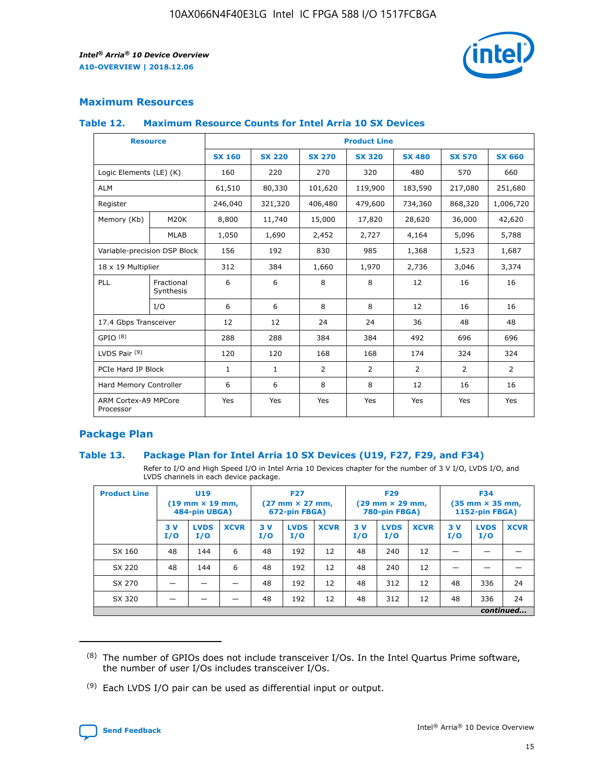

# **Maximum Resources**

#### **Table 12. Maximum Resource Counts for Intel Arria 10 SX Devices**

| <b>Resource</b>                   |                         | <b>Product Line</b> |               |                |                |                |                |                |  |  |  |
|-----------------------------------|-------------------------|---------------------|---------------|----------------|----------------|----------------|----------------|----------------|--|--|--|
|                                   |                         | <b>SX 160</b>       | <b>SX 220</b> | <b>SX 270</b>  | <b>SX 320</b>  | <b>SX 480</b>  | <b>SX 570</b>  | <b>SX 660</b>  |  |  |  |
| Logic Elements (LE) (K)           |                         | 160                 | 220           | 270            | 320            | 480            | 570            | 660            |  |  |  |
| <b>ALM</b>                        |                         | 61,510              | 80,330        | 101,620        | 119,900        | 183,590        | 217,080        | 251,680        |  |  |  |
| Register                          |                         | 246,040             | 321,320       | 406,480        | 479,600        | 734,360        | 868,320        | 1,006,720      |  |  |  |
| Memory (Kb)                       | M <sub>20</sub> K       | 8,800               | 11,740        | 15,000         | 17,820         | 28,620         | 36,000         | 42,620         |  |  |  |
|                                   | <b>MLAB</b>             | 1,050               | 1,690         | 2,452          | 2,727          | 4,164          | 5,096          | 5,788          |  |  |  |
| Variable-precision DSP Block      |                         | 156                 | 192           | 830            | 985            | 1,368          | 1,523          | 1,687          |  |  |  |
| 18 x 19 Multiplier                |                         | 312                 | 384           | 1,660          | 1,970          | 2,736          | 3,046          | 3,374          |  |  |  |
| PLL                               | Fractional<br>Synthesis | 6                   | 6             | 8              | 8              | 12             | 16             | 16             |  |  |  |
|                                   | I/O                     | 6                   | 6             | 8              | 8              | 12             | 16             | 16             |  |  |  |
| 17.4 Gbps Transceiver             |                         | 12                  | 12            | 24             | 24             | 36             | 48             | 48             |  |  |  |
| GPIO <sup>(8)</sup>               |                         | 288                 | 288           | 384            | 384            | 492            | 696            | 696            |  |  |  |
| LVDS Pair $(9)$                   |                         | 120                 | 120           | 168            | 168            | 174            | 324            | 324            |  |  |  |
| PCIe Hard IP Block                |                         | $\mathbf{1}$        | $\mathbf{1}$  | $\overline{2}$ | $\overline{2}$ | $\overline{2}$ | $\overline{2}$ | $\overline{2}$ |  |  |  |
| Hard Memory Controller            |                         | 6                   | 6             | 8              | 8              | 12             | 16             | 16             |  |  |  |
| ARM Cortex-A9 MPCore<br>Processor |                         | Yes                 | Yes           | Yes            | Yes            | Yes            | Yes            | <b>Yes</b>     |  |  |  |

## **Package Plan**

#### **Table 13. Package Plan for Intel Arria 10 SX Devices (U19, F27, F29, and F34)**

Refer to I/O and High Speed I/O in Intel Arria 10 Devices chapter for the number of 3 V I/O, LVDS I/O, and LVDS channels in each device package.

| <b>Product Line</b> | U19<br>$(19 \text{ mm} \times 19 \text{ mm})$<br>484-pin UBGA) |                    | <b>F27</b><br>$(27 \text{ mm} \times 27 \text{ mm})$<br>672-pin FBGA) |           | <b>F29</b><br>$(29 \text{ mm} \times 29 \text{ mm})$<br>780-pin FBGA) |             |            | <b>F34</b><br>$(35 \text{ mm} \times 35 \text{ mm})$<br><b>1152-pin FBGA)</b> |             |           |                    |             |
|---------------------|----------------------------------------------------------------|--------------------|-----------------------------------------------------------------------|-----------|-----------------------------------------------------------------------|-------------|------------|-------------------------------------------------------------------------------|-------------|-----------|--------------------|-------------|
|                     | 3V<br>I/O                                                      | <b>LVDS</b><br>I/O | <b>XCVR</b>                                                           | 3V<br>I/O | <b>LVDS</b><br>I/O                                                    | <b>XCVR</b> | 3 V<br>I/O | <b>LVDS</b><br>I/O                                                            | <b>XCVR</b> | 3V<br>I/O | <b>LVDS</b><br>I/O | <b>XCVR</b> |
| SX 160              | 48                                                             | 144                | 6                                                                     | 48        | 192                                                                   | 12          | 48         | 240                                                                           | 12          | –         |                    |             |
| SX 220              | 48                                                             | 144                | 6                                                                     | 48        | 192                                                                   | 12          | 48         | 240                                                                           | 12          |           |                    |             |
| SX 270              |                                                                |                    |                                                                       | 48        | 192                                                                   | 12          | 48         | 312                                                                           | 12          | 48        | 336                | 24          |
| SX 320              |                                                                |                    |                                                                       | 48        | 192                                                                   | 12          | 48         | 312                                                                           | 12          | 48        | 336                | 24          |
|                     | continued                                                      |                    |                                                                       |           |                                                                       |             |            |                                                                               |             |           |                    |             |

 $(8)$  The number of GPIOs does not include transceiver I/Os. In the Intel Quartus Prime software, the number of user I/Os includes transceiver I/Os.

 $(9)$  Each LVDS I/O pair can be used as differential input or output.

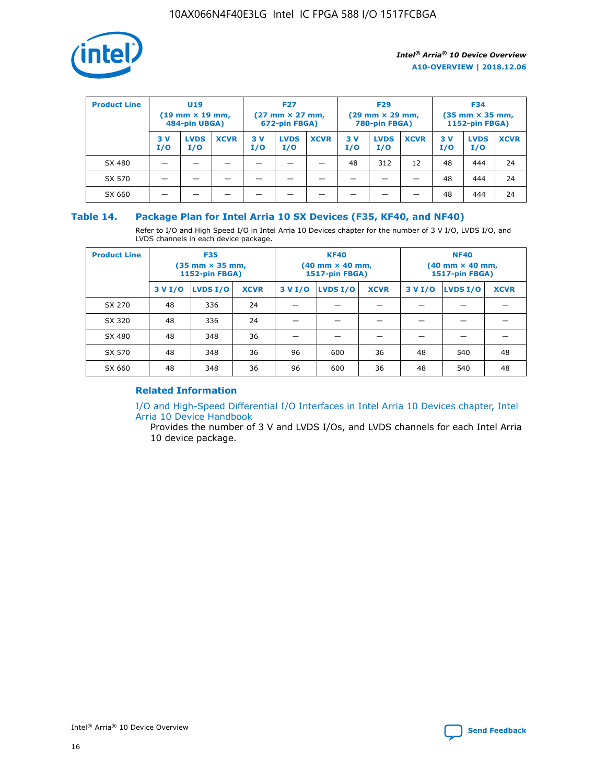

| <b>Product Line</b> | U <sub>19</sub><br>$(19 \text{ mm} \times 19 \text{ mm})$<br>484-pin UBGA) |                    | <b>F27</b><br>$(27 \text{ mm} \times 27 \text{ mm})$<br>672-pin FBGA) |           | <b>F29</b><br>$(29 \text{ mm} \times 29 \text{ mm})$<br>780-pin FBGA) |             |           | <b>F34</b><br>$(35 \text{ mm} \times 35 \text{ mm})$<br><b>1152-pin FBGA)</b> |             |           |                    |             |
|---------------------|----------------------------------------------------------------------------|--------------------|-----------------------------------------------------------------------|-----------|-----------------------------------------------------------------------|-------------|-----------|-------------------------------------------------------------------------------|-------------|-----------|--------------------|-------------|
|                     | 3 V<br>I/O                                                                 | <b>LVDS</b><br>I/O | <b>XCVR</b>                                                           | 3V<br>I/O | <b>LVDS</b><br>I/O                                                    | <b>XCVR</b> | 3V<br>I/O | <b>LVDS</b><br>I/O                                                            | <b>XCVR</b> | 3V<br>I/O | <b>LVDS</b><br>I/O | <b>XCVR</b> |
| SX 480              |                                                                            |                    |                                                                       |           |                                                                       |             | 48        | 312                                                                           | 12          | 48        | 444                | 24          |
| SX 570              |                                                                            |                    |                                                                       |           |                                                                       |             |           |                                                                               |             | 48        | 444                | 24          |
| SX 660              |                                                                            |                    |                                                                       |           |                                                                       |             |           |                                                                               |             | 48        | 444                | 24          |

## **Table 14. Package Plan for Intel Arria 10 SX Devices (F35, KF40, and NF40)**

Refer to I/O and High Speed I/O in Intel Arria 10 Devices chapter for the number of 3 V I/O, LVDS I/O, and LVDS channels in each device package.

| <b>Product Line</b> | <b>F35</b><br>$(35 \text{ mm} \times 35 \text{ mm})$<br><b>1152-pin FBGA)</b> |          |             |                                           | <b>KF40</b><br>(40 mm × 40 mm,<br>1517-pin FBGA) |    | <b>NF40</b><br>$(40 \text{ mm} \times 40 \text{ mm})$<br>1517-pin FBGA) |          |             |  |
|---------------------|-------------------------------------------------------------------------------|----------|-------------|-------------------------------------------|--------------------------------------------------|----|-------------------------------------------------------------------------|----------|-------------|--|
|                     | 3 V I/O                                                                       | LVDS I/O | <b>XCVR</b> | <b>LVDS I/O</b><br><b>XCVR</b><br>3 V I/O |                                                  |    | 3 V I/O                                                                 | LVDS I/O | <b>XCVR</b> |  |
| SX 270              | 48                                                                            | 336      | 24          |                                           |                                                  |    |                                                                         |          |             |  |
| SX 320              | 48                                                                            | 336      | 24          |                                           |                                                  |    |                                                                         |          |             |  |
| SX 480              | 48                                                                            | 348      | 36          |                                           |                                                  |    |                                                                         |          |             |  |
| SX 570              | 48                                                                            | 348      | 36          | 96                                        | 600                                              | 36 | 48                                                                      | 540      | 48          |  |
| SX 660              | 48                                                                            | 348      | 36          | 96                                        | 600                                              | 36 | 48                                                                      | 540      | 48          |  |

# **Related Information**

[I/O and High-Speed Differential I/O Interfaces in Intel Arria 10 Devices chapter, Intel](https://www.intel.com/content/www/us/en/programmable/documentation/sam1403482614086.html#sam1403482030321) [Arria 10 Device Handbook](https://www.intel.com/content/www/us/en/programmable/documentation/sam1403482614086.html#sam1403482030321)

Provides the number of 3 V and LVDS I/Os, and LVDS channels for each Intel Arria 10 device package.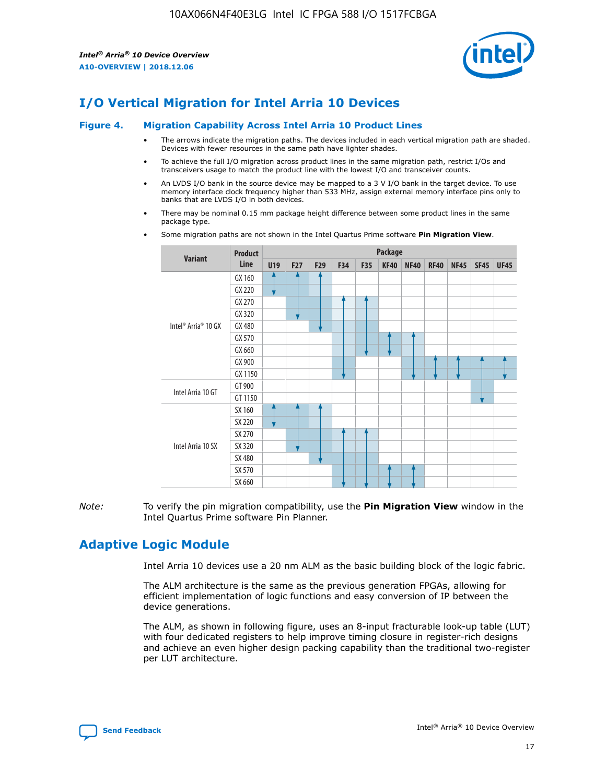

# **I/O Vertical Migration for Intel Arria 10 Devices**

#### **Figure 4. Migration Capability Across Intel Arria 10 Product Lines**

- The arrows indicate the migration paths. The devices included in each vertical migration path are shaded. Devices with fewer resources in the same path have lighter shades.
- To achieve the full I/O migration across product lines in the same migration path, restrict I/Os and transceivers usage to match the product line with the lowest I/O and transceiver counts.
- An LVDS I/O bank in the source device may be mapped to a 3 V I/O bank in the target device. To use memory interface clock frequency higher than 533 MHz, assign external memory interface pins only to banks that are LVDS I/O in both devices.
- There may be nominal 0.15 mm package height difference between some product lines in the same package type.
	- **Variant Product Line Package U19 F27 F29 F34 F35 KF40 NF40 RF40 NF45 SF45 UF45** Intel® Arria® 10 GX GX 160 GX 220 GX 270 GX 320 GX 480 GX 570 GX 660 GX 900 GX 1150 Intel Arria 10 GT GT 900 GT 1150 Intel Arria 10 SX SX 160 SX 220 SX 270 SX 320 SX 480 SX 570 SX 660
- Some migration paths are not shown in the Intel Quartus Prime software **Pin Migration View**.

*Note:* To verify the pin migration compatibility, use the **Pin Migration View** window in the Intel Quartus Prime software Pin Planner.

# **Adaptive Logic Module**

Intel Arria 10 devices use a 20 nm ALM as the basic building block of the logic fabric.

The ALM architecture is the same as the previous generation FPGAs, allowing for efficient implementation of logic functions and easy conversion of IP between the device generations.

The ALM, as shown in following figure, uses an 8-input fracturable look-up table (LUT) with four dedicated registers to help improve timing closure in register-rich designs and achieve an even higher design packing capability than the traditional two-register per LUT architecture.

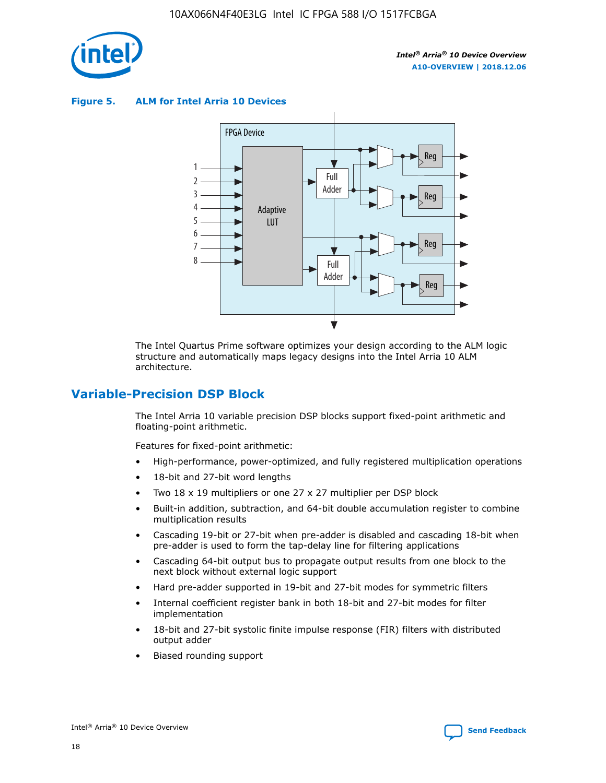

**Figure 5. ALM for Intel Arria 10 Devices**



The Intel Quartus Prime software optimizes your design according to the ALM logic structure and automatically maps legacy designs into the Intel Arria 10 ALM architecture.

# **Variable-Precision DSP Block**

The Intel Arria 10 variable precision DSP blocks support fixed-point arithmetic and floating-point arithmetic.

Features for fixed-point arithmetic:

- High-performance, power-optimized, and fully registered multiplication operations
- 18-bit and 27-bit word lengths
- Two 18 x 19 multipliers or one 27 x 27 multiplier per DSP block
- Built-in addition, subtraction, and 64-bit double accumulation register to combine multiplication results
- Cascading 19-bit or 27-bit when pre-adder is disabled and cascading 18-bit when pre-adder is used to form the tap-delay line for filtering applications
- Cascading 64-bit output bus to propagate output results from one block to the next block without external logic support
- Hard pre-adder supported in 19-bit and 27-bit modes for symmetric filters
- Internal coefficient register bank in both 18-bit and 27-bit modes for filter implementation
- 18-bit and 27-bit systolic finite impulse response (FIR) filters with distributed output adder
- Biased rounding support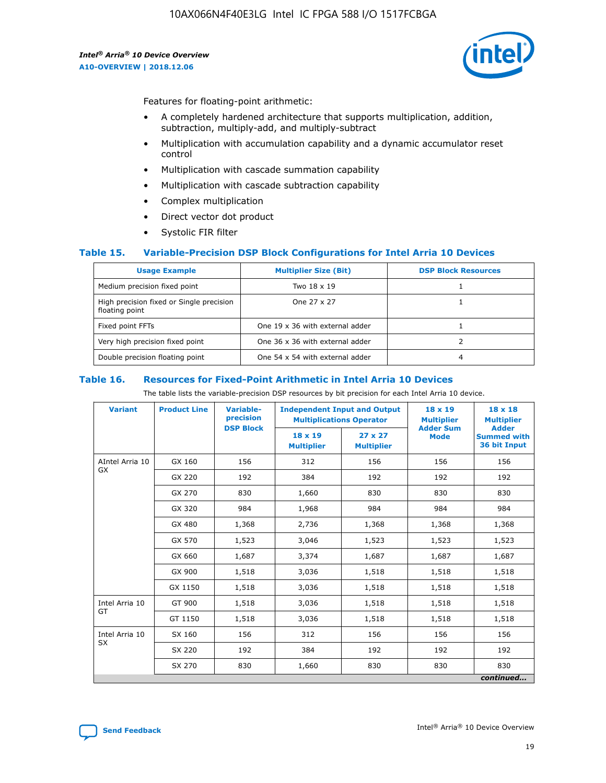

Features for floating-point arithmetic:

- A completely hardened architecture that supports multiplication, addition, subtraction, multiply-add, and multiply-subtract
- Multiplication with accumulation capability and a dynamic accumulator reset control
- Multiplication with cascade summation capability
- Multiplication with cascade subtraction capability
- Complex multiplication
- Direct vector dot product
- Systolic FIR filter

#### **Table 15. Variable-Precision DSP Block Configurations for Intel Arria 10 Devices**

| <b>Usage Example</b>                                       | <b>Multiplier Size (Bit)</b>    | <b>DSP Block Resources</b> |
|------------------------------------------------------------|---------------------------------|----------------------------|
| Medium precision fixed point                               | Two 18 x 19                     |                            |
| High precision fixed or Single precision<br>floating point | One 27 x 27                     |                            |
| Fixed point FFTs                                           | One 19 x 36 with external adder |                            |
| Very high precision fixed point                            | One 36 x 36 with external adder |                            |
| Double precision floating point                            | One 54 x 54 with external adder | 4                          |

#### **Table 16. Resources for Fixed-Point Arithmetic in Intel Arria 10 Devices**

The table lists the variable-precision DSP resources by bit precision for each Intel Arria 10 device.

| <b>Variant</b>  | <b>Product Line</b> | <b>Variable-</b><br>precision<br><b>DSP Block</b> | <b>Independent Input and Output</b><br><b>Multiplications Operator</b> |                                     | 18 x 19<br><b>Multiplier</b><br><b>Adder Sum</b> | $18 \times 18$<br><b>Multiplier</b><br><b>Adder</b> |
|-----------------|---------------------|---------------------------------------------------|------------------------------------------------------------------------|-------------------------------------|--------------------------------------------------|-----------------------------------------------------|
|                 |                     |                                                   | 18 x 19<br><b>Multiplier</b>                                           | $27 \times 27$<br><b>Multiplier</b> | <b>Mode</b>                                      | <b>Summed with</b><br>36 bit Input                  |
| AIntel Arria 10 | GX 160              | 156                                               | 312                                                                    | 156                                 | 156                                              | 156                                                 |
| GX              | GX 220              | 192                                               | 384                                                                    | 192                                 | 192                                              | 192                                                 |
|                 | GX 270              | 830                                               | 1,660                                                                  | 830                                 | 830                                              | 830                                                 |
|                 | GX 320              | 984                                               | 1,968                                                                  | 984                                 | 984                                              | 984                                                 |
|                 | GX 480              | 1,368                                             | 2,736                                                                  | 1,368                               | 1,368                                            | 1,368                                               |
|                 | GX 570              | 1,523                                             | 3,046                                                                  | 1,523                               | 1,523                                            | 1,523                                               |
|                 | GX 660              | 1,687                                             | 3,374                                                                  | 1,687                               | 1,687                                            | 1,687                                               |
|                 | GX 900              | 1,518                                             | 3,036                                                                  | 1,518                               | 1,518                                            | 1,518                                               |
|                 | GX 1150             | 1,518                                             | 3,036                                                                  | 1,518                               | 1,518                                            | 1,518                                               |
| Intel Arria 10  | GT 900              | 1,518                                             | 3,036                                                                  | 1,518                               | 1,518                                            | 1,518                                               |
| GT              | GT 1150             | 1,518                                             | 3,036                                                                  | 1,518                               | 1,518                                            | 1,518                                               |
| Intel Arria 10  | SX 160              | 156                                               | 312                                                                    | 156                                 | 156                                              | 156                                                 |
| <b>SX</b>       | SX 220              | 192                                               | 384                                                                    | 192                                 | 192                                              | 192                                                 |
|                 | SX 270              | 830                                               | 1,660                                                                  | 830                                 | 830                                              | 830                                                 |
|                 |                     |                                                   |                                                                        |                                     |                                                  | continued                                           |

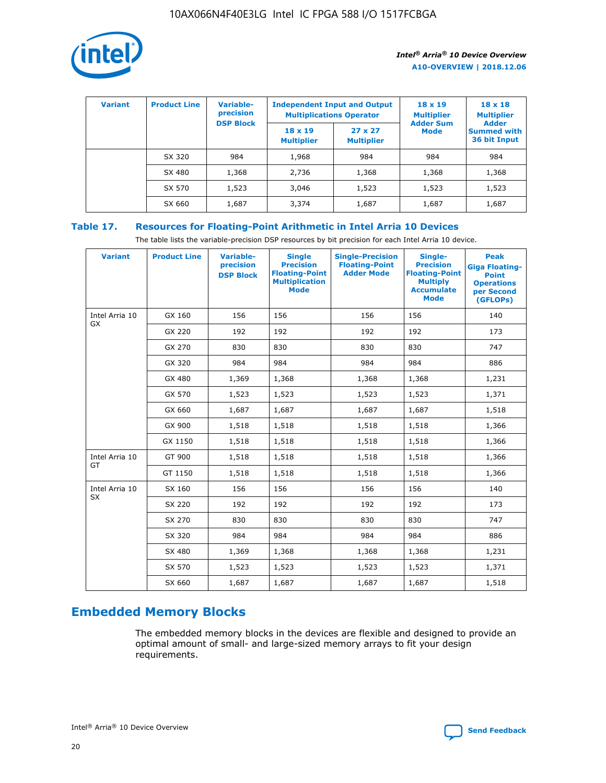

| <b>Variant</b> | <b>Product Line</b> | Variable-<br>precision | <b>Independent Input and Output</b><br><b>Multiplications Operator</b> |                                     | $18 \times 19$<br><b>Multiplier</b> | $18 \times 18$<br><b>Multiplier</b><br><b>Adder</b> |  |
|----------------|---------------------|------------------------|------------------------------------------------------------------------|-------------------------------------|-------------------------------------|-----------------------------------------------------|--|
|                |                     | <b>DSP Block</b>       | $18 \times 19$<br><b>Multiplier</b>                                    | $27 \times 27$<br><b>Multiplier</b> | <b>Adder Sum</b><br><b>Mode</b>     | <b>Summed with</b><br>36 bit Input                  |  |
|                | SX 320              | 984                    | 1,968                                                                  | 984                                 | 984                                 | 984                                                 |  |
|                | SX 480              | 1,368                  | 2,736                                                                  | 1,368                               | 1,368                               | 1,368                                               |  |
|                | SX 570              | 1,523                  | 3,046                                                                  | 1,523                               | 1,523                               | 1,523                                               |  |
|                | SX 660              | 1,687                  | 3,374                                                                  | 1,687                               | 1,687                               | 1,687                                               |  |

# **Table 17. Resources for Floating-Point Arithmetic in Intel Arria 10 Devices**

The table lists the variable-precision DSP resources by bit precision for each Intel Arria 10 device.

| <b>Variant</b> | <b>Product Line</b> | <b>Variable-</b><br>precision<br><b>DSP Block</b> | <b>Single</b><br><b>Precision</b><br><b>Floating-Point</b><br><b>Multiplication</b><br><b>Mode</b> | <b>Single-Precision</b><br><b>Floating-Point</b><br><b>Adder Mode</b> | Single-<br><b>Precision</b><br><b>Floating-Point</b><br><b>Multiply</b><br><b>Accumulate</b><br><b>Mode</b> | <b>Peak</b><br><b>Giga Floating-</b><br><b>Point</b><br><b>Operations</b><br>per Second<br>(GFLOPs) |
|----------------|---------------------|---------------------------------------------------|----------------------------------------------------------------------------------------------------|-----------------------------------------------------------------------|-------------------------------------------------------------------------------------------------------------|-----------------------------------------------------------------------------------------------------|
| Intel Arria 10 | GX 160              | 156                                               | 156                                                                                                | 156                                                                   | 156                                                                                                         | 140                                                                                                 |
| GX             | GX 220              | 192                                               | 192                                                                                                | 192                                                                   | 192                                                                                                         | 173                                                                                                 |
|                | GX 270              | 830                                               | 830                                                                                                | 830                                                                   | 830                                                                                                         | 747                                                                                                 |
|                | GX 320              | 984                                               | 984                                                                                                | 984                                                                   | 984                                                                                                         | 886                                                                                                 |
|                | GX 480              | 1,369                                             | 1,368                                                                                              | 1,368                                                                 | 1,368                                                                                                       | 1,231                                                                                               |
|                | GX 570              | 1,523                                             | 1,523                                                                                              | 1,523                                                                 | 1,523                                                                                                       | 1,371                                                                                               |
|                | GX 660              | 1,687                                             | 1,687                                                                                              | 1,687                                                                 | 1,687                                                                                                       | 1,518                                                                                               |
|                | GX 900              | 1,518                                             | 1,518                                                                                              | 1,518                                                                 | 1,518                                                                                                       | 1,366                                                                                               |
|                | GX 1150             | 1,518                                             | 1,518                                                                                              | 1,518                                                                 | 1,518                                                                                                       | 1,366                                                                                               |
| Intel Arria 10 | GT 900              | 1,518                                             | 1,518                                                                                              | 1,518                                                                 | 1,518                                                                                                       | 1,366                                                                                               |
| GT             | GT 1150             | 1,518                                             | 1,518                                                                                              | 1,518                                                                 | 1,518                                                                                                       | 1,366                                                                                               |
| Intel Arria 10 | SX 160              | 156                                               | 156                                                                                                | 156                                                                   | 156                                                                                                         | 140                                                                                                 |
| <b>SX</b>      | SX 220              | 192                                               | 192                                                                                                | 192                                                                   | 192                                                                                                         | 173                                                                                                 |
|                | SX 270              | 830                                               | 830                                                                                                | 830                                                                   | 830                                                                                                         | 747                                                                                                 |
|                | SX 320              | 984                                               | 984                                                                                                | 984                                                                   | 984                                                                                                         | 886                                                                                                 |
|                | SX 480              | 1,369                                             | 1,368                                                                                              | 1,368                                                                 | 1,368                                                                                                       | 1,231                                                                                               |
|                | SX 570              | 1,523                                             | 1,523                                                                                              | 1,523                                                                 | 1,523                                                                                                       | 1,371                                                                                               |
|                | SX 660              | 1,687                                             | 1,687                                                                                              | 1,687                                                                 | 1,687                                                                                                       | 1,518                                                                                               |

# **Embedded Memory Blocks**

The embedded memory blocks in the devices are flexible and designed to provide an optimal amount of small- and large-sized memory arrays to fit your design requirements.

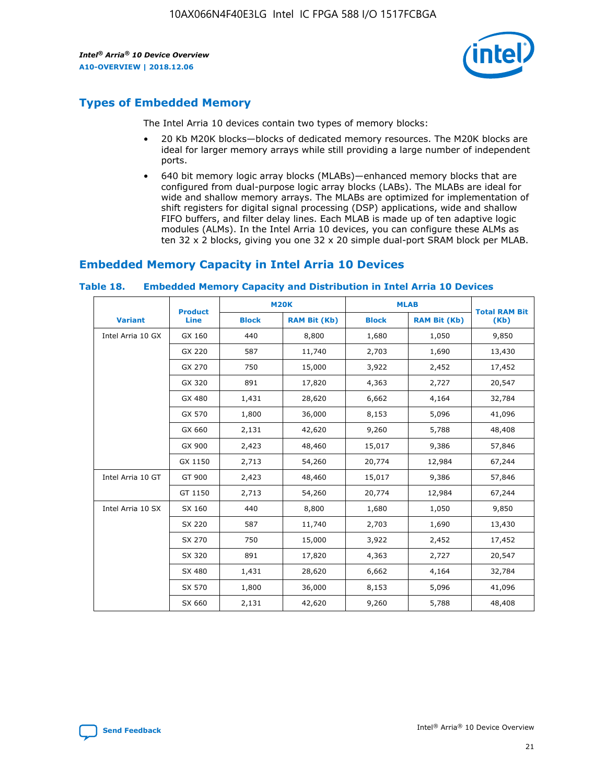

# **Types of Embedded Memory**

The Intel Arria 10 devices contain two types of memory blocks:

- 20 Kb M20K blocks—blocks of dedicated memory resources. The M20K blocks are ideal for larger memory arrays while still providing a large number of independent ports.
- 640 bit memory logic array blocks (MLABs)—enhanced memory blocks that are configured from dual-purpose logic array blocks (LABs). The MLABs are ideal for wide and shallow memory arrays. The MLABs are optimized for implementation of shift registers for digital signal processing (DSP) applications, wide and shallow FIFO buffers, and filter delay lines. Each MLAB is made up of ten adaptive logic modules (ALMs). In the Intel Arria 10 devices, you can configure these ALMs as ten 32 x 2 blocks, giving you one 32 x 20 simple dual-port SRAM block per MLAB.

# **Embedded Memory Capacity in Intel Arria 10 Devices**

|                   | <b>Product</b> |              | <b>M20K</b>         | <b>MLAB</b>  |                     | <b>Total RAM Bit</b> |
|-------------------|----------------|--------------|---------------------|--------------|---------------------|----------------------|
| <b>Variant</b>    | <b>Line</b>    | <b>Block</b> | <b>RAM Bit (Kb)</b> | <b>Block</b> | <b>RAM Bit (Kb)</b> | (Kb)                 |
| Intel Arria 10 GX | GX 160         | 440          | 8,800               | 1,680        | 1,050               | 9,850                |
|                   | GX 220         | 587          | 11,740              | 2,703        | 1,690               | 13,430               |
|                   | GX 270         | 750          | 15,000              | 3,922        | 2,452               | 17,452               |
|                   | GX 320         | 891          | 17,820              | 4,363        | 2,727               | 20,547               |
|                   | GX 480         | 1,431        | 28,620              | 6,662        | 4,164               | 32,784               |
|                   | GX 570         | 1,800        | 36,000              | 8,153        | 5,096               | 41,096               |
|                   | GX 660         | 2,131        | 42,620              | 9,260        | 5,788               | 48,408               |
|                   | GX 900         | 2,423        | 48,460              | 15,017       | 9,386               | 57,846               |
|                   | GX 1150        | 2,713        | 54,260              | 20,774       | 12,984              | 67,244               |
| Intel Arria 10 GT | GT 900         | 2,423        | 48,460              | 15,017       | 9,386               | 57,846               |
|                   | GT 1150        | 2,713        | 54,260              | 20,774       | 12,984              | 67,244               |
| Intel Arria 10 SX | SX 160         | 440          | 8,800               | 1,680        | 1,050               | 9,850                |
|                   | SX 220         | 587          | 11,740              | 2,703        | 1,690               | 13,430               |
|                   | SX 270         | 750          | 15,000              | 3,922        | 2,452               | 17,452               |
|                   | SX 320         | 891          | 17,820              | 4,363        | 2,727               | 20,547               |
|                   | SX 480         | 1,431        | 28,620              | 6,662        | 4,164               | 32,784               |
|                   | SX 570         | 1,800        | 36,000              | 8,153        | 5,096               | 41,096               |
|                   | SX 660         | 2,131        | 42,620              | 9,260        | 5,788               | 48,408               |

#### **Table 18. Embedded Memory Capacity and Distribution in Intel Arria 10 Devices**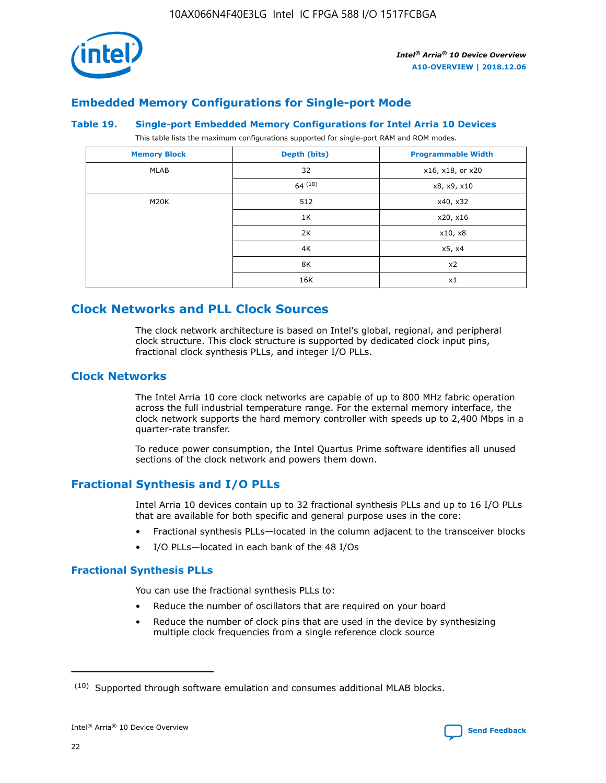

# **Embedded Memory Configurations for Single-port Mode**

#### **Table 19. Single-port Embedded Memory Configurations for Intel Arria 10 Devices**

This table lists the maximum configurations supported for single-port RAM and ROM modes.

| <b>Memory Block</b> | Depth (bits) | <b>Programmable Width</b> |
|---------------------|--------------|---------------------------|
| MLAB                | 32           | x16, x18, or x20          |
|                     | 64(10)       | x8, x9, x10               |
| M20K                | 512          | x40, x32                  |
|                     | 1K           | x20, x16                  |
|                     | 2K           | x10, x8                   |
|                     | 4K           | x5, x4                    |
|                     | 8K           | x2                        |
|                     | 16K          | x1                        |

# **Clock Networks and PLL Clock Sources**

The clock network architecture is based on Intel's global, regional, and peripheral clock structure. This clock structure is supported by dedicated clock input pins, fractional clock synthesis PLLs, and integer I/O PLLs.

## **Clock Networks**

The Intel Arria 10 core clock networks are capable of up to 800 MHz fabric operation across the full industrial temperature range. For the external memory interface, the clock network supports the hard memory controller with speeds up to 2,400 Mbps in a quarter-rate transfer.

To reduce power consumption, the Intel Quartus Prime software identifies all unused sections of the clock network and powers them down.

# **Fractional Synthesis and I/O PLLs**

Intel Arria 10 devices contain up to 32 fractional synthesis PLLs and up to 16 I/O PLLs that are available for both specific and general purpose uses in the core:

- Fractional synthesis PLLs—located in the column adjacent to the transceiver blocks
- I/O PLLs—located in each bank of the 48 I/Os

#### **Fractional Synthesis PLLs**

You can use the fractional synthesis PLLs to:

- Reduce the number of oscillators that are required on your board
- Reduce the number of clock pins that are used in the device by synthesizing multiple clock frequencies from a single reference clock source

<sup>(10)</sup> Supported through software emulation and consumes additional MLAB blocks.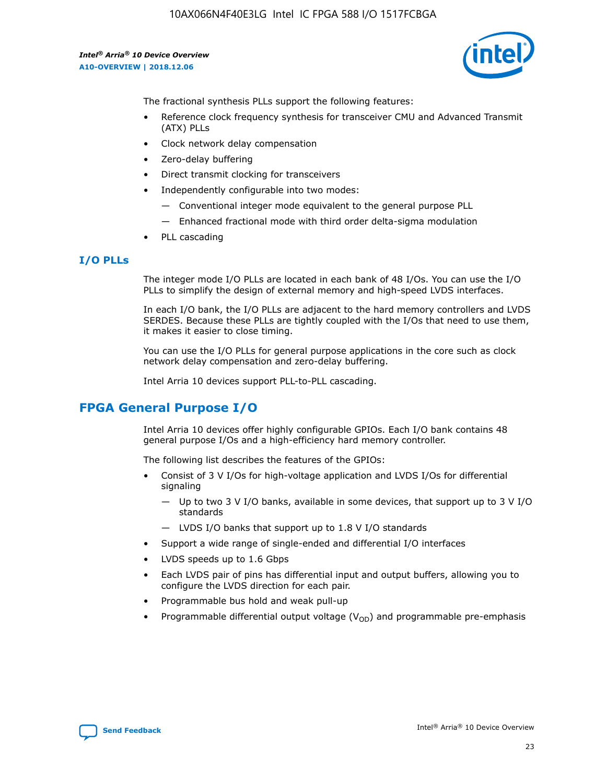

The fractional synthesis PLLs support the following features:

- Reference clock frequency synthesis for transceiver CMU and Advanced Transmit (ATX) PLLs
- Clock network delay compensation
- Zero-delay buffering
- Direct transmit clocking for transceivers
- Independently configurable into two modes:
	- Conventional integer mode equivalent to the general purpose PLL
	- Enhanced fractional mode with third order delta-sigma modulation
- PLL cascading

## **I/O PLLs**

The integer mode I/O PLLs are located in each bank of 48 I/Os. You can use the I/O PLLs to simplify the design of external memory and high-speed LVDS interfaces.

In each I/O bank, the I/O PLLs are adjacent to the hard memory controllers and LVDS SERDES. Because these PLLs are tightly coupled with the I/Os that need to use them, it makes it easier to close timing.

You can use the I/O PLLs for general purpose applications in the core such as clock network delay compensation and zero-delay buffering.

Intel Arria 10 devices support PLL-to-PLL cascading.

# **FPGA General Purpose I/O**

Intel Arria 10 devices offer highly configurable GPIOs. Each I/O bank contains 48 general purpose I/Os and a high-efficiency hard memory controller.

The following list describes the features of the GPIOs:

- Consist of 3 V I/Os for high-voltage application and LVDS I/Os for differential signaling
	- Up to two 3 V I/O banks, available in some devices, that support up to 3 V I/O standards
	- LVDS I/O banks that support up to 1.8 V I/O standards
- Support a wide range of single-ended and differential I/O interfaces
- LVDS speeds up to 1.6 Gbps
- Each LVDS pair of pins has differential input and output buffers, allowing you to configure the LVDS direction for each pair.
- Programmable bus hold and weak pull-up
- Programmable differential output voltage  $(V_{OD})$  and programmable pre-emphasis

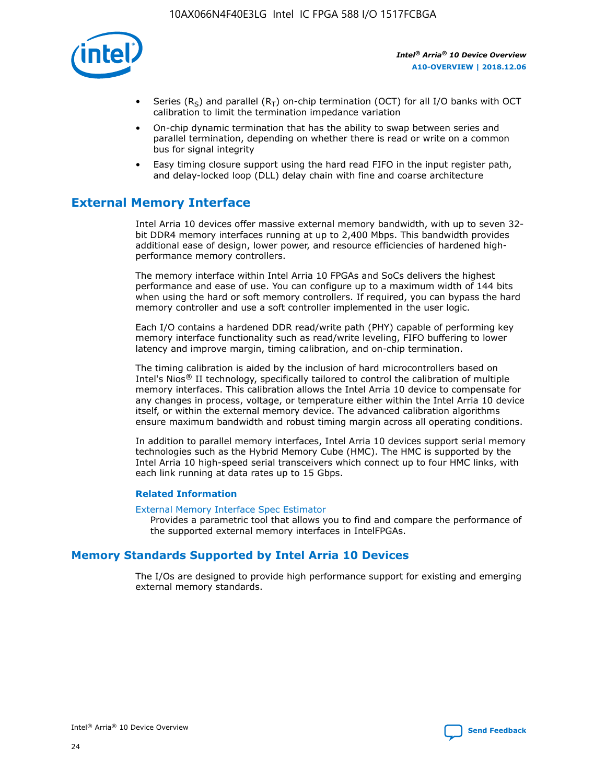

- Series (R<sub>S</sub>) and parallel (R<sub>T</sub>) on-chip termination (OCT) for all I/O banks with OCT calibration to limit the termination impedance variation
- On-chip dynamic termination that has the ability to swap between series and parallel termination, depending on whether there is read or write on a common bus for signal integrity
- Easy timing closure support using the hard read FIFO in the input register path, and delay-locked loop (DLL) delay chain with fine and coarse architecture

# **External Memory Interface**

Intel Arria 10 devices offer massive external memory bandwidth, with up to seven 32 bit DDR4 memory interfaces running at up to 2,400 Mbps. This bandwidth provides additional ease of design, lower power, and resource efficiencies of hardened highperformance memory controllers.

The memory interface within Intel Arria 10 FPGAs and SoCs delivers the highest performance and ease of use. You can configure up to a maximum width of 144 bits when using the hard or soft memory controllers. If required, you can bypass the hard memory controller and use a soft controller implemented in the user logic.

Each I/O contains a hardened DDR read/write path (PHY) capable of performing key memory interface functionality such as read/write leveling, FIFO buffering to lower latency and improve margin, timing calibration, and on-chip termination.

The timing calibration is aided by the inclusion of hard microcontrollers based on Intel's Nios® II technology, specifically tailored to control the calibration of multiple memory interfaces. This calibration allows the Intel Arria 10 device to compensate for any changes in process, voltage, or temperature either within the Intel Arria 10 device itself, or within the external memory device. The advanced calibration algorithms ensure maximum bandwidth and robust timing margin across all operating conditions.

In addition to parallel memory interfaces, Intel Arria 10 devices support serial memory technologies such as the Hybrid Memory Cube (HMC). The HMC is supported by the Intel Arria 10 high-speed serial transceivers which connect up to four HMC links, with each link running at data rates up to 15 Gbps.

#### **Related Information**

#### [External Memory Interface Spec Estimator](http://www.altera.com/technology/memory/estimator/mem-emif-index.html)

Provides a parametric tool that allows you to find and compare the performance of the supported external memory interfaces in IntelFPGAs.

# **Memory Standards Supported by Intel Arria 10 Devices**

The I/Os are designed to provide high performance support for existing and emerging external memory standards.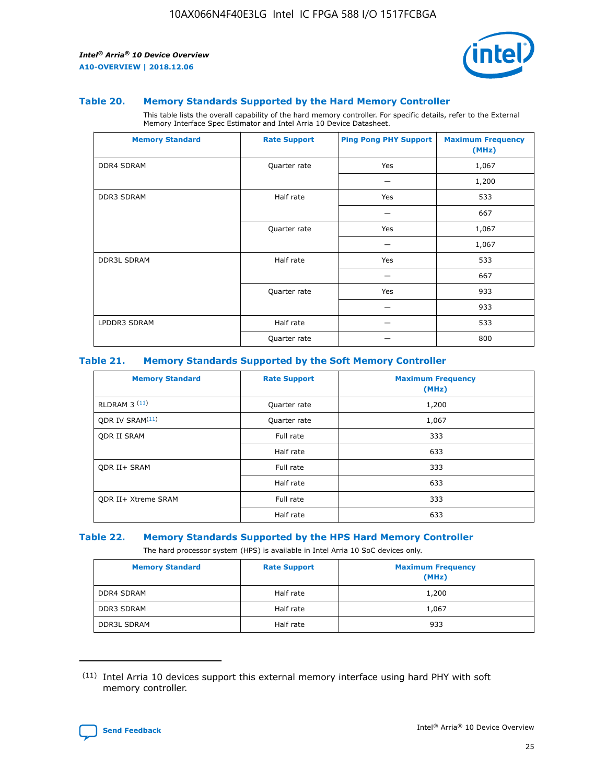

#### **Table 20. Memory Standards Supported by the Hard Memory Controller**

This table lists the overall capability of the hard memory controller. For specific details, refer to the External Memory Interface Spec Estimator and Intel Arria 10 Device Datasheet.

| <b>Memory Standard</b> | <b>Rate Support</b> | <b>Ping Pong PHY Support</b> | <b>Maximum Frequency</b><br>(MHz) |
|------------------------|---------------------|------------------------------|-----------------------------------|
| <b>DDR4 SDRAM</b>      | Quarter rate        | Yes                          | 1,067                             |
|                        |                     |                              | 1,200                             |
| DDR3 SDRAM             | Half rate           | Yes                          | 533                               |
|                        |                     |                              | 667                               |
|                        | Quarter rate        | Yes                          | 1,067                             |
|                        |                     |                              | 1,067                             |
| <b>DDR3L SDRAM</b>     | Half rate           | Yes                          | 533                               |
|                        |                     |                              | 667                               |
|                        | Quarter rate        | Yes                          | 933                               |
|                        |                     |                              | 933                               |
| LPDDR3 SDRAM           | Half rate           |                              | 533                               |
|                        | Quarter rate        |                              | 800                               |

#### **Table 21. Memory Standards Supported by the Soft Memory Controller**

| <b>Memory Standard</b>      | <b>Rate Support</b> | <b>Maximum Frequency</b><br>(MHz) |
|-----------------------------|---------------------|-----------------------------------|
| <b>RLDRAM 3 (11)</b>        | Quarter rate        | 1,200                             |
| ODR IV SRAM <sup>(11)</sup> | Quarter rate        | 1,067                             |
| <b>ODR II SRAM</b>          | Full rate           | 333                               |
|                             | Half rate           | 633                               |
| <b>ODR II+ SRAM</b>         | Full rate           | 333                               |
|                             | Half rate           | 633                               |
| <b>ODR II+ Xtreme SRAM</b>  | Full rate           | 333                               |
|                             | Half rate           | 633                               |

#### **Table 22. Memory Standards Supported by the HPS Hard Memory Controller**

The hard processor system (HPS) is available in Intel Arria 10 SoC devices only.

| <b>Memory Standard</b> | <b>Rate Support</b> | <b>Maximum Frequency</b><br>(MHz) |
|------------------------|---------------------|-----------------------------------|
| <b>DDR4 SDRAM</b>      | Half rate           | 1,200                             |
| <b>DDR3 SDRAM</b>      | Half rate           | 1,067                             |
| <b>DDR3L SDRAM</b>     | Half rate           | 933                               |

<sup>(11)</sup> Intel Arria 10 devices support this external memory interface using hard PHY with soft memory controller.

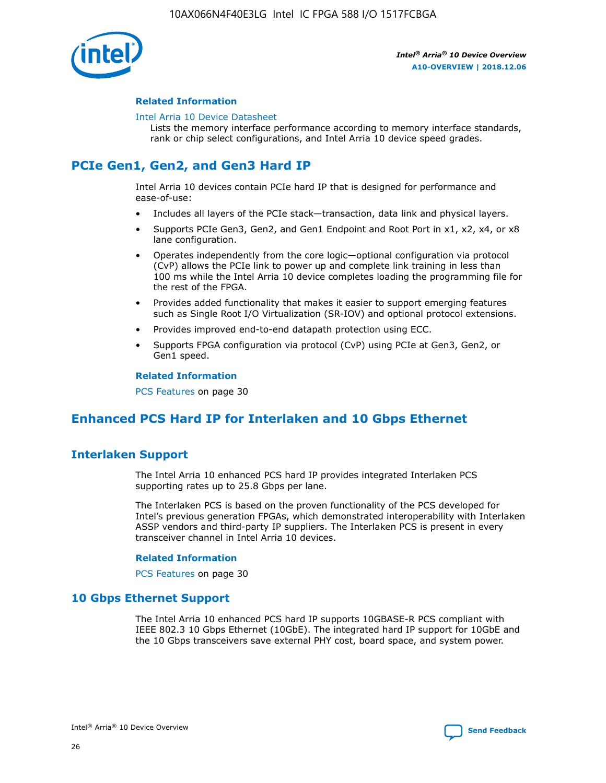

#### **Related Information**

#### [Intel Arria 10 Device Datasheet](https://www.intel.com/content/www/us/en/programmable/documentation/mcn1413182292568.html#mcn1413182153340)

Lists the memory interface performance according to memory interface standards, rank or chip select configurations, and Intel Arria 10 device speed grades.

# **PCIe Gen1, Gen2, and Gen3 Hard IP**

Intel Arria 10 devices contain PCIe hard IP that is designed for performance and ease-of-use:

- Includes all layers of the PCIe stack—transaction, data link and physical layers.
- Supports PCIe Gen3, Gen2, and Gen1 Endpoint and Root Port in x1, x2, x4, or x8 lane configuration.
- Operates independently from the core logic—optional configuration via protocol (CvP) allows the PCIe link to power up and complete link training in less than 100 ms while the Intel Arria 10 device completes loading the programming file for the rest of the FPGA.
- Provides added functionality that makes it easier to support emerging features such as Single Root I/O Virtualization (SR-IOV) and optional protocol extensions.
- Provides improved end-to-end datapath protection using ECC.
- Supports FPGA configuration via protocol (CvP) using PCIe at Gen3, Gen2, or Gen1 speed.

#### **Related Information**

PCS Features on page 30

# **Enhanced PCS Hard IP for Interlaken and 10 Gbps Ethernet**

# **Interlaken Support**

The Intel Arria 10 enhanced PCS hard IP provides integrated Interlaken PCS supporting rates up to 25.8 Gbps per lane.

The Interlaken PCS is based on the proven functionality of the PCS developed for Intel's previous generation FPGAs, which demonstrated interoperability with Interlaken ASSP vendors and third-party IP suppliers. The Interlaken PCS is present in every transceiver channel in Intel Arria 10 devices.

#### **Related Information**

PCS Features on page 30

## **10 Gbps Ethernet Support**

The Intel Arria 10 enhanced PCS hard IP supports 10GBASE-R PCS compliant with IEEE 802.3 10 Gbps Ethernet (10GbE). The integrated hard IP support for 10GbE and the 10 Gbps transceivers save external PHY cost, board space, and system power.

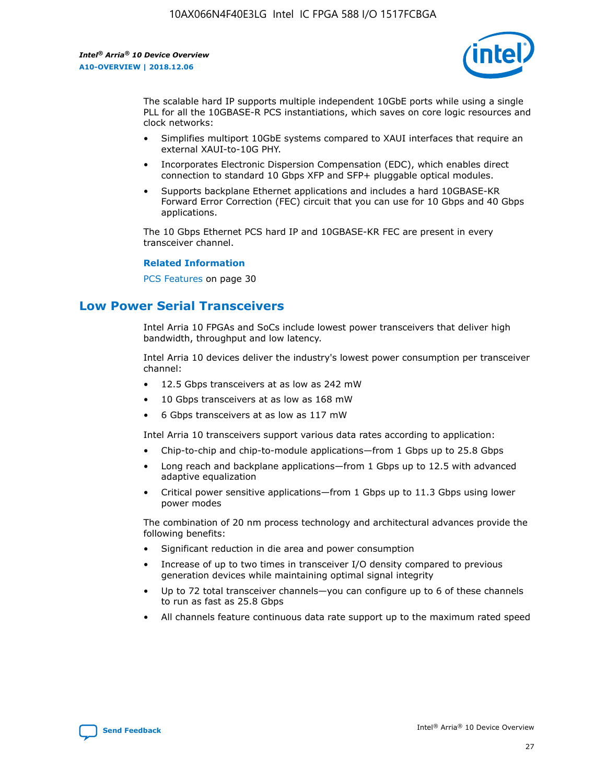

The scalable hard IP supports multiple independent 10GbE ports while using a single PLL for all the 10GBASE-R PCS instantiations, which saves on core logic resources and clock networks:

- Simplifies multiport 10GbE systems compared to XAUI interfaces that require an external XAUI-to-10G PHY.
- Incorporates Electronic Dispersion Compensation (EDC), which enables direct connection to standard 10 Gbps XFP and SFP+ pluggable optical modules.
- Supports backplane Ethernet applications and includes a hard 10GBASE-KR Forward Error Correction (FEC) circuit that you can use for 10 Gbps and 40 Gbps applications.

The 10 Gbps Ethernet PCS hard IP and 10GBASE-KR FEC are present in every transceiver channel.

#### **Related Information**

PCS Features on page 30

# **Low Power Serial Transceivers**

Intel Arria 10 FPGAs and SoCs include lowest power transceivers that deliver high bandwidth, throughput and low latency.

Intel Arria 10 devices deliver the industry's lowest power consumption per transceiver channel:

- 12.5 Gbps transceivers at as low as 242 mW
- 10 Gbps transceivers at as low as 168 mW
- 6 Gbps transceivers at as low as 117 mW

Intel Arria 10 transceivers support various data rates according to application:

- Chip-to-chip and chip-to-module applications—from 1 Gbps up to 25.8 Gbps
- Long reach and backplane applications—from 1 Gbps up to 12.5 with advanced adaptive equalization
- Critical power sensitive applications—from 1 Gbps up to 11.3 Gbps using lower power modes

The combination of 20 nm process technology and architectural advances provide the following benefits:

- Significant reduction in die area and power consumption
- Increase of up to two times in transceiver I/O density compared to previous generation devices while maintaining optimal signal integrity
- Up to 72 total transceiver channels—you can configure up to 6 of these channels to run as fast as 25.8 Gbps
- All channels feature continuous data rate support up to the maximum rated speed

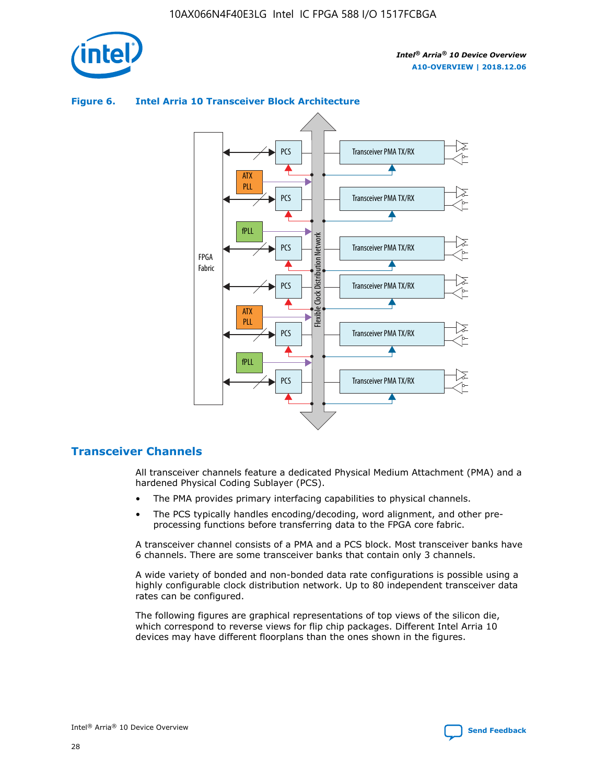

# Transceiver PMA TX/RX PCS ATX PLL Transceiver PMA TX/RX PCS fPLL Network Flexible Clock Distribution Network PCS Transceiver PMA TX/RX FPGA **Clock Distribution** Fabric PCS Transceiver PMA TX/RX ATX Flexible PLL PCS Transceiver PMA TX/RX ▲ fPLL Transceiver PMA TX/RX PCS 4

## **Figure 6. Intel Arria 10 Transceiver Block Architecture**

# **Transceiver Channels**

All transceiver channels feature a dedicated Physical Medium Attachment (PMA) and a hardened Physical Coding Sublayer (PCS).

- The PMA provides primary interfacing capabilities to physical channels.
- The PCS typically handles encoding/decoding, word alignment, and other preprocessing functions before transferring data to the FPGA core fabric.

A transceiver channel consists of a PMA and a PCS block. Most transceiver banks have 6 channels. There are some transceiver banks that contain only 3 channels.

A wide variety of bonded and non-bonded data rate configurations is possible using a highly configurable clock distribution network. Up to 80 independent transceiver data rates can be configured.

The following figures are graphical representations of top views of the silicon die, which correspond to reverse views for flip chip packages. Different Intel Arria 10 devices may have different floorplans than the ones shown in the figures.

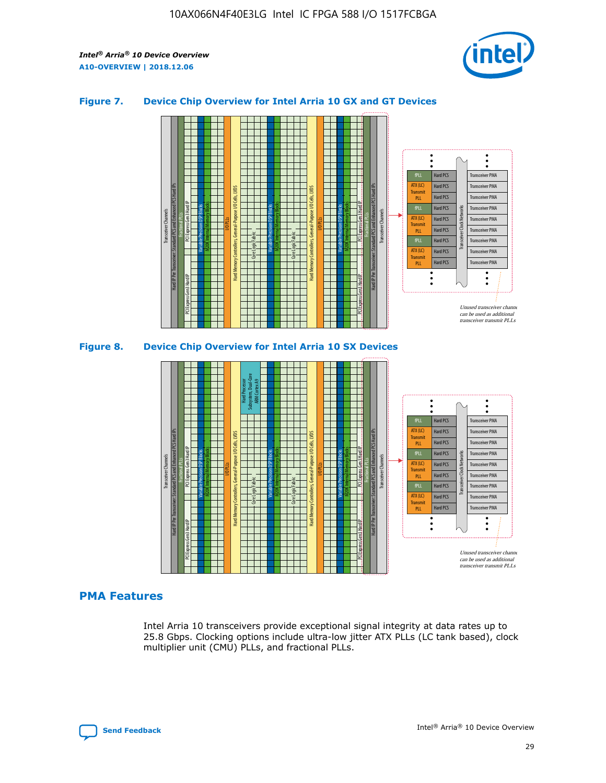

## **Figure 7. Device Chip Overview for Intel Arria 10 GX and GT Devices**



M20K Internal Memory Blocks Core Logic Fabric Transceiver Channels Hard IP Per Transceiver: Standard PCS and Enhanced PCS Hard IPs PCI Express Gen3 Hard IP Fractional PLLs M20K Internal Memory Blocks PCI Express Gen3 Hard IP Variable Precision DSP Blocks I/O PLLs Hard Memory Controllers, General-Purpose I/O Cells, LVDS Hard Processor Subsystem, Dual-Core ARM Cortex A9 M20K Internal Memory Blocks Variable Precision DSP Blocks M20K Internal Memory Blocks Core Logic Fabric I/O PLLs Hard Memory Controllers, General-Purpose I/O Cells, LVDS M20K Internal Memory Blocks Variable Precision DSP Blocks M20K Internal Memory Blocks Transceiver Channels Hard IP Per Transceiver: Standard PCS and Enhanced PCS Hard IPs PCI Express Gen3 Hard IP Fractional PLLs PCI Express Gen3 Hard IP Hard PCS Hard PCS Hard PCS Hard PCS Hard PCS Hard PCS Hard PCS Hard PCS Transceiver PMA Transceiver PMA Transceiver PMA Transceiver PMA Transceiver PMA Transceiver PMA Unused transceiver chann can be used as additional transceiver transmit PLLs Transceiver PMA Transceiver PMA Transceiver Clock Networks ATX (LC) **Transmit** PLL fPLL ATX (LC) Transmi PLL fPLL ATX (LC) **Transmit** PLL

#### **PMA Features**

Intel Arria 10 transceivers provide exceptional signal integrity at data rates up to 25.8 Gbps. Clocking options include ultra-low jitter ATX PLLs (LC tank based), clock multiplier unit (CMU) PLLs, and fractional PLLs.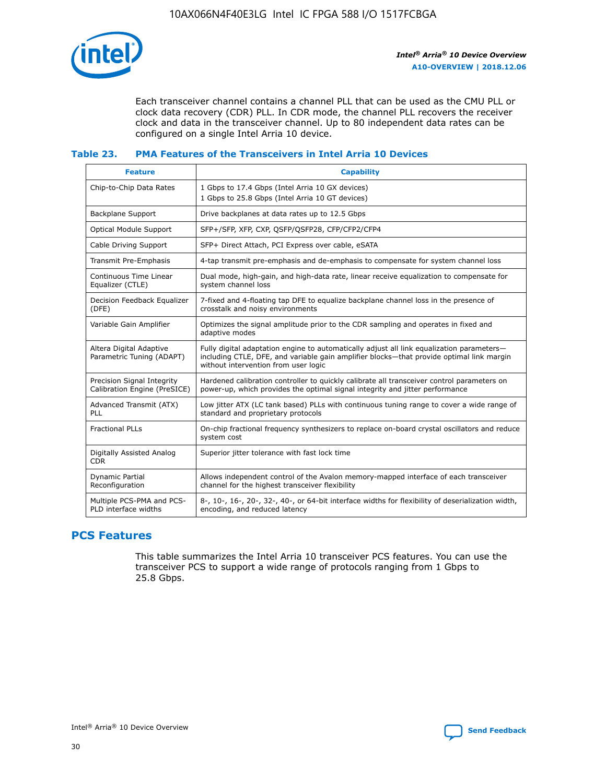

Each transceiver channel contains a channel PLL that can be used as the CMU PLL or clock data recovery (CDR) PLL. In CDR mode, the channel PLL recovers the receiver clock and data in the transceiver channel. Up to 80 independent data rates can be configured on a single Intel Arria 10 device.

## **Table 23. PMA Features of the Transceivers in Intel Arria 10 Devices**

| <b>Feature</b>                                             | <b>Capability</b>                                                                                                                                                                                                             |
|------------------------------------------------------------|-------------------------------------------------------------------------------------------------------------------------------------------------------------------------------------------------------------------------------|
| Chip-to-Chip Data Rates                                    | 1 Gbps to 17.4 Gbps (Intel Arria 10 GX devices)<br>1 Gbps to 25.8 Gbps (Intel Arria 10 GT devices)                                                                                                                            |
| <b>Backplane Support</b>                                   | Drive backplanes at data rates up to 12.5 Gbps                                                                                                                                                                                |
| <b>Optical Module Support</b>                              | SFP+/SFP, XFP, CXP, QSFP/QSFP28, CFP/CFP2/CFP4                                                                                                                                                                                |
| Cable Driving Support                                      | SFP+ Direct Attach, PCI Express over cable, eSATA                                                                                                                                                                             |
| Transmit Pre-Emphasis                                      | 4-tap transmit pre-emphasis and de-emphasis to compensate for system channel loss                                                                                                                                             |
| Continuous Time Linear<br>Equalizer (CTLE)                 | Dual mode, high-gain, and high-data rate, linear receive equalization to compensate for<br>system channel loss                                                                                                                |
| Decision Feedback Equalizer<br>(DFE)                       | 7-fixed and 4-floating tap DFE to equalize backplane channel loss in the presence of<br>crosstalk and noisy environments                                                                                                      |
| Variable Gain Amplifier                                    | Optimizes the signal amplitude prior to the CDR sampling and operates in fixed and<br>adaptive modes                                                                                                                          |
| Altera Digital Adaptive<br>Parametric Tuning (ADAPT)       | Fully digital adaptation engine to automatically adjust all link equalization parameters-<br>including CTLE, DFE, and variable gain amplifier blocks—that provide optimal link margin<br>without intervention from user logic |
| Precision Signal Integrity<br>Calibration Engine (PreSICE) | Hardened calibration controller to quickly calibrate all transceiver control parameters on<br>power-up, which provides the optimal signal integrity and jitter performance                                                    |
| Advanced Transmit (ATX)<br>PLL                             | Low jitter ATX (LC tank based) PLLs with continuous tuning range to cover a wide range of<br>standard and proprietary protocols                                                                                               |
| <b>Fractional PLLs</b>                                     | On-chip fractional frequency synthesizers to replace on-board crystal oscillators and reduce<br>system cost                                                                                                                   |
| Digitally Assisted Analog<br><b>CDR</b>                    | Superior jitter tolerance with fast lock time                                                                                                                                                                                 |
| Dynamic Partial<br>Reconfiguration                         | Allows independent control of the Avalon memory-mapped interface of each transceiver<br>channel for the highest transceiver flexibility                                                                                       |
| Multiple PCS-PMA and PCS-<br>PLD interface widths          | 8-, 10-, 16-, 20-, 32-, 40-, or 64-bit interface widths for flexibility of deserialization width,<br>encoding, and reduced latency                                                                                            |

# **PCS Features**

This table summarizes the Intel Arria 10 transceiver PCS features. You can use the transceiver PCS to support a wide range of protocols ranging from 1 Gbps to 25.8 Gbps.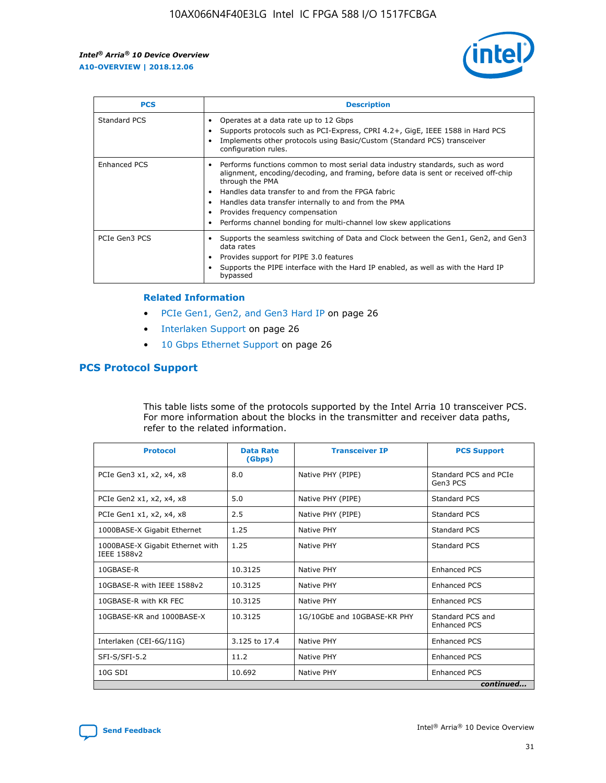

| <b>PCS</b>    | <b>Description</b>                                                                                                                                                                                                                                                                                                                                                                                             |
|---------------|----------------------------------------------------------------------------------------------------------------------------------------------------------------------------------------------------------------------------------------------------------------------------------------------------------------------------------------------------------------------------------------------------------------|
| Standard PCS  | Operates at a data rate up to 12 Gbps<br>Supports protocols such as PCI-Express, CPRI 4.2+, GigE, IEEE 1588 in Hard PCS<br>Implements other protocols using Basic/Custom (Standard PCS) transceiver<br>configuration rules.                                                                                                                                                                                    |
| Enhanced PCS  | Performs functions common to most serial data industry standards, such as word<br>alignment, encoding/decoding, and framing, before data is sent or received off-chip<br>through the PMA<br>• Handles data transfer to and from the FPGA fabric<br>Handles data transfer internally to and from the PMA<br>Provides frequency compensation<br>Performs channel bonding for multi-channel low skew applications |
| PCIe Gen3 PCS | Supports the seamless switching of Data and Clock between the Gen1, Gen2, and Gen3<br>data rates<br>Provides support for PIPE 3.0 features<br>Supports the PIPE interface with the Hard IP enabled, as well as with the Hard IP<br>bypassed                                                                                                                                                                    |

#### **Related Information**

- PCIe Gen1, Gen2, and Gen3 Hard IP on page 26
- Interlaken Support on page 26
- 10 Gbps Ethernet Support on page 26

# **PCS Protocol Support**

This table lists some of the protocols supported by the Intel Arria 10 transceiver PCS. For more information about the blocks in the transmitter and receiver data paths, refer to the related information.

| <b>Protocol</b>                                 | <b>Data Rate</b><br>(Gbps) | <b>Transceiver IP</b>       | <b>PCS Support</b>                      |
|-------------------------------------------------|----------------------------|-----------------------------|-----------------------------------------|
| PCIe Gen3 x1, x2, x4, x8                        | 8.0                        | Native PHY (PIPE)           | Standard PCS and PCIe<br>Gen3 PCS       |
| PCIe Gen2 x1, x2, x4, x8                        | 5.0                        | Native PHY (PIPE)           | <b>Standard PCS</b>                     |
| PCIe Gen1 x1, x2, x4, x8                        | 2.5                        | Native PHY (PIPE)           | Standard PCS                            |
| 1000BASE-X Gigabit Ethernet                     | 1.25                       | Native PHY                  | <b>Standard PCS</b>                     |
| 1000BASE-X Gigabit Ethernet with<br>IEEE 1588v2 | 1.25                       | Native PHY                  | Standard PCS                            |
| 10GBASE-R                                       | 10.3125                    | Native PHY                  | Enhanced PCS                            |
| 10GBASE-R with IEEE 1588v2                      | 10.3125                    | Native PHY                  | <b>Enhanced PCS</b>                     |
| 10GBASE-R with KR FEC                           | 10.3125                    | Native PHY                  | Enhanced PCS                            |
| 10GBASE-KR and 1000BASE-X                       | 10.3125                    | 1G/10GbE and 10GBASE-KR PHY | Standard PCS and<br><b>Enhanced PCS</b> |
| Interlaken (CEI-6G/11G)                         | 3.125 to 17.4              | Native PHY                  | <b>Enhanced PCS</b>                     |
| SFI-S/SFI-5.2                                   | 11.2                       | Native PHY                  | <b>Enhanced PCS</b>                     |
| 10G SDI                                         | 10.692                     | Native PHY                  | Enhanced PCS                            |
|                                                 |                            |                             | continued                               |

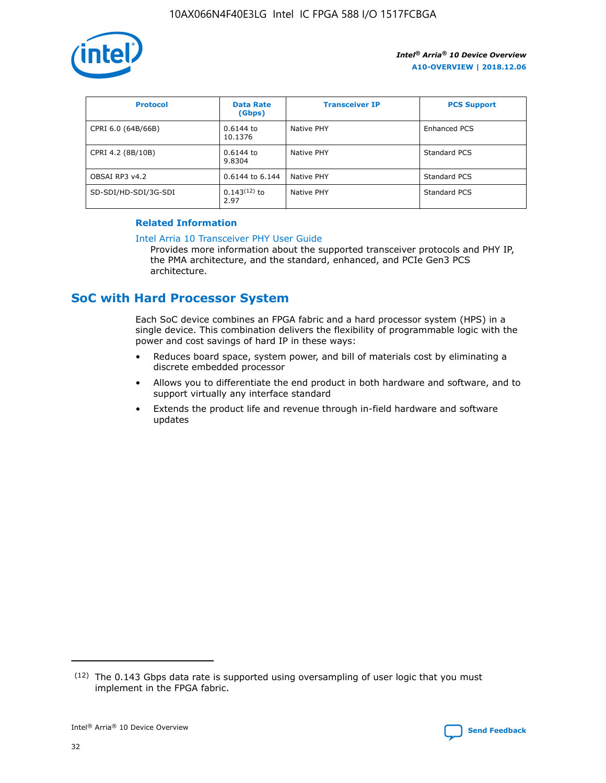

| <b>Protocol</b>      | <b>Data Rate</b><br>(Gbps) | <b>Transceiver IP</b> | <b>PCS Support</b> |
|----------------------|----------------------------|-----------------------|--------------------|
| CPRI 6.0 (64B/66B)   | 0.6144 to<br>10.1376       | Native PHY            | Enhanced PCS       |
| CPRI 4.2 (8B/10B)    | 0.6144 to<br>9.8304        | Native PHY            | Standard PCS       |
| OBSAI RP3 v4.2       | 0.6144 to 6.144            | Native PHY            | Standard PCS       |
| SD-SDI/HD-SDI/3G-SDI | $0.143(12)$ to<br>2.97     | Native PHY            | Standard PCS       |

## **Related Information**

#### [Intel Arria 10 Transceiver PHY User Guide](https://www.intel.com/content/www/us/en/programmable/documentation/nik1398707230472.html#nik1398707091164)

Provides more information about the supported transceiver protocols and PHY IP, the PMA architecture, and the standard, enhanced, and PCIe Gen3 PCS architecture.

# **SoC with Hard Processor System**

Each SoC device combines an FPGA fabric and a hard processor system (HPS) in a single device. This combination delivers the flexibility of programmable logic with the power and cost savings of hard IP in these ways:

- Reduces board space, system power, and bill of materials cost by eliminating a discrete embedded processor
- Allows you to differentiate the end product in both hardware and software, and to support virtually any interface standard
- Extends the product life and revenue through in-field hardware and software updates

 $(12)$  The 0.143 Gbps data rate is supported using oversampling of user logic that you must implement in the FPGA fabric.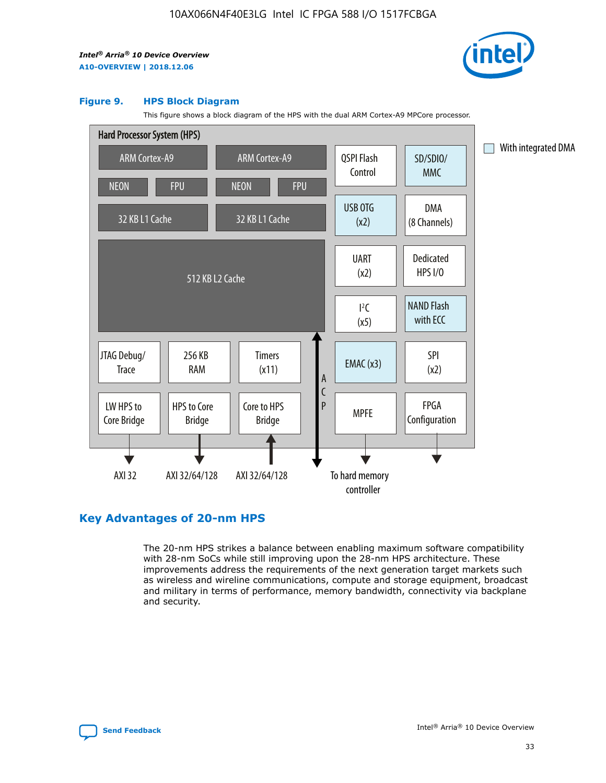

#### **Figure 9. HPS Block Diagram**

This figure shows a block diagram of the HPS with the dual ARM Cortex-A9 MPCore processor.



# **Key Advantages of 20-nm HPS**

The 20-nm HPS strikes a balance between enabling maximum software compatibility with 28-nm SoCs while still improving upon the 28-nm HPS architecture. These improvements address the requirements of the next generation target markets such as wireless and wireline communications, compute and storage equipment, broadcast and military in terms of performance, memory bandwidth, connectivity via backplane and security.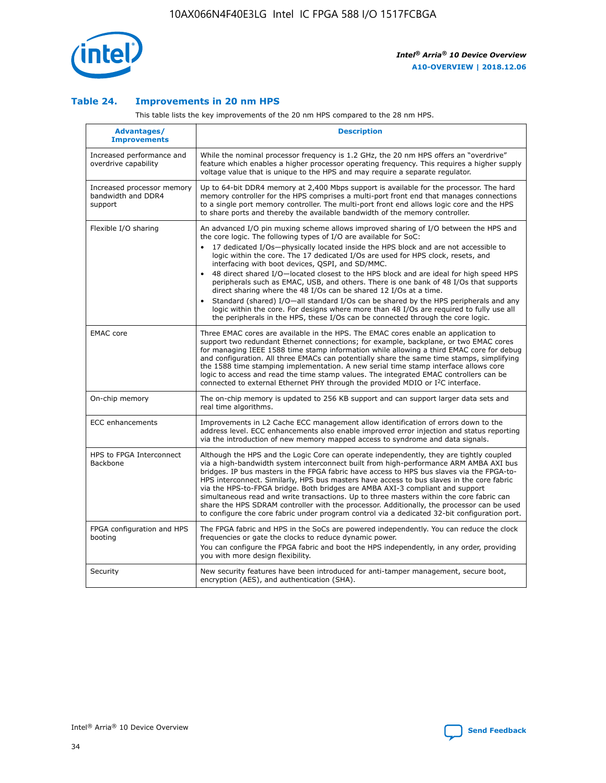

## **Table 24. Improvements in 20 nm HPS**

This table lists the key improvements of the 20 nm HPS compared to the 28 nm HPS.

| Advantages/<br><b>Improvements</b>                          | <b>Description</b>                                                                                                                                                                                                                                                                                                                                                                                                                                                                                                                                                                                                                                                                                                                                                                                                                                                                                                      |
|-------------------------------------------------------------|-------------------------------------------------------------------------------------------------------------------------------------------------------------------------------------------------------------------------------------------------------------------------------------------------------------------------------------------------------------------------------------------------------------------------------------------------------------------------------------------------------------------------------------------------------------------------------------------------------------------------------------------------------------------------------------------------------------------------------------------------------------------------------------------------------------------------------------------------------------------------------------------------------------------------|
| Increased performance and<br>overdrive capability           | While the nominal processor frequency is 1.2 GHz, the 20 nm HPS offers an "overdrive"<br>feature which enables a higher processor operating frequency. This requires a higher supply<br>voltage value that is unique to the HPS and may require a separate regulator.                                                                                                                                                                                                                                                                                                                                                                                                                                                                                                                                                                                                                                                   |
| Increased processor memory<br>bandwidth and DDR4<br>support | Up to 64-bit DDR4 memory at 2,400 Mbps support is available for the processor. The hard<br>memory controller for the HPS comprises a multi-port front end that manages connections<br>to a single port memory controller. The multi-port front end allows logic core and the HPS<br>to share ports and thereby the available bandwidth of the memory controller.                                                                                                                                                                                                                                                                                                                                                                                                                                                                                                                                                        |
| Flexible I/O sharing                                        | An advanced I/O pin muxing scheme allows improved sharing of I/O between the HPS and<br>the core logic. The following types of I/O are available for SoC:<br>17 dedicated I/Os-physically located inside the HPS block and are not accessible to<br>logic within the core. The 17 dedicated I/Os are used for HPS clock, resets, and<br>interfacing with boot devices, QSPI, and SD/MMC.<br>48 direct shared I/O-located closest to the HPS block and are ideal for high speed HPS<br>peripherals such as EMAC, USB, and others. There is one bank of 48 I/Os that supports<br>direct sharing where the 48 I/Os can be shared 12 I/Os at a time.<br>Standard (shared) I/O-all standard I/Os can be shared by the HPS peripherals and any<br>logic within the core. For designs where more than 48 I/Os are required to fully use all<br>the peripherals in the HPS, these I/Os can be connected through the core logic. |
| <b>EMAC</b> core                                            | Three EMAC cores are available in the HPS. The EMAC cores enable an application to<br>support two redundant Ethernet connections; for example, backplane, or two EMAC cores<br>for managing IEEE 1588 time stamp information while allowing a third EMAC core for debug<br>and configuration. All three EMACs can potentially share the same time stamps, simplifying<br>the 1588 time stamping implementation. A new serial time stamp interface allows core<br>logic to access and read the time stamp values. The integrated EMAC controllers can be<br>connected to external Ethernet PHY through the provided MDIO or I <sup>2</sup> C interface.                                                                                                                                                                                                                                                                  |
| On-chip memory                                              | The on-chip memory is updated to 256 KB support and can support larger data sets and<br>real time algorithms.                                                                                                                                                                                                                                                                                                                                                                                                                                                                                                                                                                                                                                                                                                                                                                                                           |
| <b>ECC</b> enhancements                                     | Improvements in L2 Cache ECC management allow identification of errors down to the<br>address level. ECC enhancements also enable improved error injection and status reporting<br>via the introduction of new memory mapped access to syndrome and data signals.                                                                                                                                                                                                                                                                                                                                                                                                                                                                                                                                                                                                                                                       |
| HPS to FPGA Interconnect<br>Backbone                        | Although the HPS and the Logic Core can operate independently, they are tightly coupled<br>via a high-bandwidth system interconnect built from high-performance ARM AMBA AXI bus<br>bridges. IP bus masters in the FPGA fabric have access to HPS bus slaves via the FPGA-to-<br>HPS interconnect. Similarly, HPS bus masters have access to bus slaves in the core fabric<br>via the HPS-to-FPGA bridge. Both bridges are AMBA AXI-3 compliant and support<br>simultaneous read and write transactions. Up to three masters within the core fabric can<br>share the HPS SDRAM controller with the processor. Additionally, the processor can be used<br>to configure the core fabric under program control via a dedicated 32-bit configuration port.                                                                                                                                                                  |
| FPGA configuration and HPS<br>booting                       | The FPGA fabric and HPS in the SoCs are powered independently. You can reduce the clock<br>frequencies or gate the clocks to reduce dynamic power.<br>You can configure the FPGA fabric and boot the HPS independently, in any order, providing<br>you with more design flexibility.                                                                                                                                                                                                                                                                                                                                                                                                                                                                                                                                                                                                                                    |
| Security                                                    | New security features have been introduced for anti-tamper management, secure boot,<br>encryption (AES), and authentication (SHA).                                                                                                                                                                                                                                                                                                                                                                                                                                                                                                                                                                                                                                                                                                                                                                                      |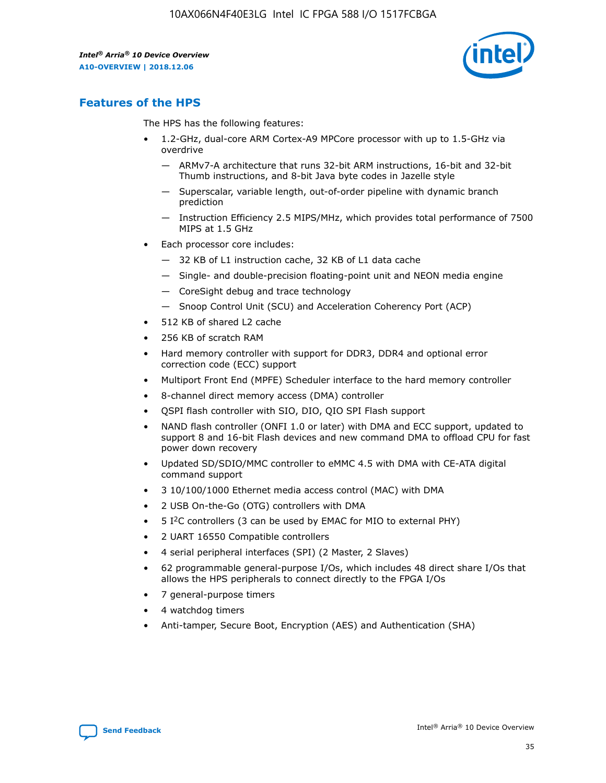

# **Features of the HPS**

The HPS has the following features:

- 1.2-GHz, dual-core ARM Cortex-A9 MPCore processor with up to 1.5-GHz via overdrive
	- ARMv7-A architecture that runs 32-bit ARM instructions, 16-bit and 32-bit Thumb instructions, and 8-bit Java byte codes in Jazelle style
	- Superscalar, variable length, out-of-order pipeline with dynamic branch prediction
	- Instruction Efficiency 2.5 MIPS/MHz, which provides total performance of 7500 MIPS at 1.5 GHz
- Each processor core includes:
	- 32 KB of L1 instruction cache, 32 KB of L1 data cache
	- Single- and double-precision floating-point unit and NEON media engine
	- CoreSight debug and trace technology
	- Snoop Control Unit (SCU) and Acceleration Coherency Port (ACP)
- 512 KB of shared L2 cache
- 256 KB of scratch RAM
- Hard memory controller with support for DDR3, DDR4 and optional error correction code (ECC) support
- Multiport Front End (MPFE) Scheduler interface to the hard memory controller
- 8-channel direct memory access (DMA) controller
- QSPI flash controller with SIO, DIO, QIO SPI Flash support
- NAND flash controller (ONFI 1.0 or later) with DMA and ECC support, updated to support 8 and 16-bit Flash devices and new command DMA to offload CPU for fast power down recovery
- Updated SD/SDIO/MMC controller to eMMC 4.5 with DMA with CE-ATA digital command support
- 3 10/100/1000 Ethernet media access control (MAC) with DMA
- 2 USB On-the-Go (OTG) controllers with DMA
- $\bullet$  5 I<sup>2</sup>C controllers (3 can be used by EMAC for MIO to external PHY)
- 2 UART 16550 Compatible controllers
- 4 serial peripheral interfaces (SPI) (2 Master, 2 Slaves)
- 62 programmable general-purpose I/Os, which includes 48 direct share I/Os that allows the HPS peripherals to connect directly to the FPGA I/Os
- 7 general-purpose timers
- 4 watchdog timers
- Anti-tamper, Secure Boot, Encryption (AES) and Authentication (SHA)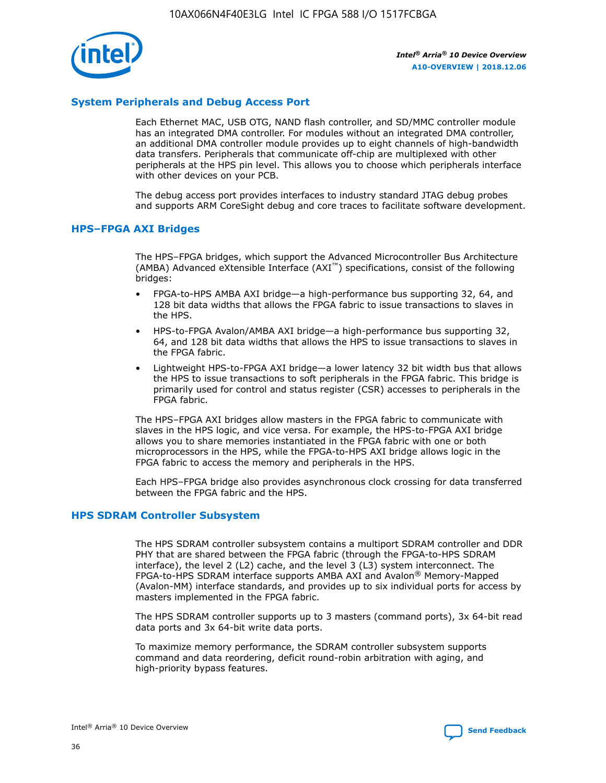

## **System Peripherals and Debug Access Port**

Each Ethernet MAC, USB OTG, NAND flash controller, and SD/MMC controller module has an integrated DMA controller. For modules without an integrated DMA controller, an additional DMA controller module provides up to eight channels of high-bandwidth data transfers. Peripherals that communicate off-chip are multiplexed with other peripherals at the HPS pin level. This allows you to choose which peripherals interface with other devices on your PCB.

The debug access port provides interfaces to industry standard JTAG debug probes and supports ARM CoreSight debug and core traces to facilitate software development.

## **HPS–FPGA AXI Bridges**

The HPS–FPGA bridges, which support the Advanced Microcontroller Bus Architecture (AMBA) Advanced eXtensible Interface (AXI™) specifications, consist of the following bridges:

- FPGA-to-HPS AMBA AXI bridge—a high-performance bus supporting 32, 64, and 128 bit data widths that allows the FPGA fabric to issue transactions to slaves in the HPS.
- HPS-to-FPGA Avalon/AMBA AXI bridge—a high-performance bus supporting 32, 64, and 128 bit data widths that allows the HPS to issue transactions to slaves in the FPGA fabric.
- Lightweight HPS-to-FPGA AXI bridge—a lower latency 32 bit width bus that allows the HPS to issue transactions to soft peripherals in the FPGA fabric. This bridge is primarily used for control and status register (CSR) accesses to peripherals in the FPGA fabric.

The HPS–FPGA AXI bridges allow masters in the FPGA fabric to communicate with slaves in the HPS logic, and vice versa. For example, the HPS-to-FPGA AXI bridge allows you to share memories instantiated in the FPGA fabric with one or both microprocessors in the HPS, while the FPGA-to-HPS AXI bridge allows logic in the FPGA fabric to access the memory and peripherals in the HPS.

Each HPS–FPGA bridge also provides asynchronous clock crossing for data transferred between the FPGA fabric and the HPS.

#### **HPS SDRAM Controller Subsystem**

The HPS SDRAM controller subsystem contains a multiport SDRAM controller and DDR PHY that are shared between the FPGA fabric (through the FPGA-to-HPS SDRAM interface), the level 2 (L2) cache, and the level 3 (L3) system interconnect. The FPGA-to-HPS SDRAM interface supports AMBA AXI and Avalon® Memory-Mapped (Avalon-MM) interface standards, and provides up to six individual ports for access by masters implemented in the FPGA fabric.

The HPS SDRAM controller supports up to 3 masters (command ports), 3x 64-bit read data ports and 3x 64-bit write data ports.

To maximize memory performance, the SDRAM controller subsystem supports command and data reordering, deficit round-robin arbitration with aging, and high-priority bypass features.

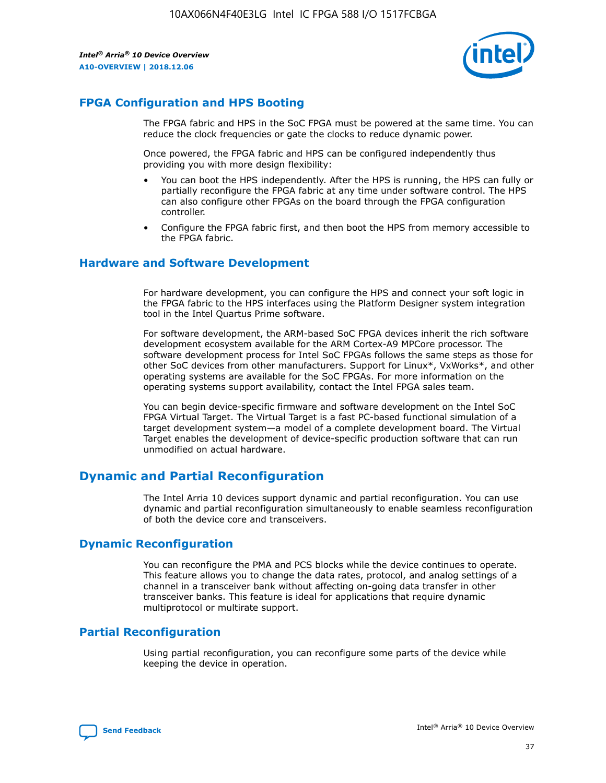

# **FPGA Configuration and HPS Booting**

The FPGA fabric and HPS in the SoC FPGA must be powered at the same time. You can reduce the clock frequencies or gate the clocks to reduce dynamic power.

Once powered, the FPGA fabric and HPS can be configured independently thus providing you with more design flexibility:

- You can boot the HPS independently. After the HPS is running, the HPS can fully or partially reconfigure the FPGA fabric at any time under software control. The HPS can also configure other FPGAs on the board through the FPGA configuration controller.
- Configure the FPGA fabric first, and then boot the HPS from memory accessible to the FPGA fabric.

## **Hardware and Software Development**

For hardware development, you can configure the HPS and connect your soft logic in the FPGA fabric to the HPS interfaces using the Platform Designer system integration tool in the Intel Quartus Prime software.

For software development, the ARM-based SoC FPGA devices inherit the rich software development ecosystem available for the ARM Cortex-A9 MPCore processor. The software development process for Intel SoC FPGAs follows the same steps as those for other SoC devices from other manufacturers. Support for Linux\*, VxWorks\*, and other operating systems are available for the SoC FPGAs. For more information on the operating systems support availability, contact the Intel FPGA sales team.

You can begin device-specific firmware and software development on the Intel SoC FPGA Virtual Target. The Virtual Target is a fast PC-based functional simulation of a target development system—a model of a complete development board. The Virtual Target enables the development of device-specific production software that can run unmodified on actual hardware.

# **Dynamic and Partial Reconfiguration**

The Intel Arria 10 devices support dynamic and partial reconfiguration. You can use dynamic and partial reconfiguration simultaneously to enable seamless reconfiguration of both the device core and transceivers.

## **Dynamic Reconfiguration**

You can reconfigure the PMA and PCS blocks while the device continues to operate. This feature allows you to change the data rates, protocol, and analog settings of a channel in a transceiver bank without affecting on-going data transfer in other transceiver banks. This feature is ideal for applications that require dynamic multiprotocol or multirate support.

# **Partial Reconfiguration**

Using partial reconfiguration, you can reconfigure some parts of the device while keeping the device in operation.

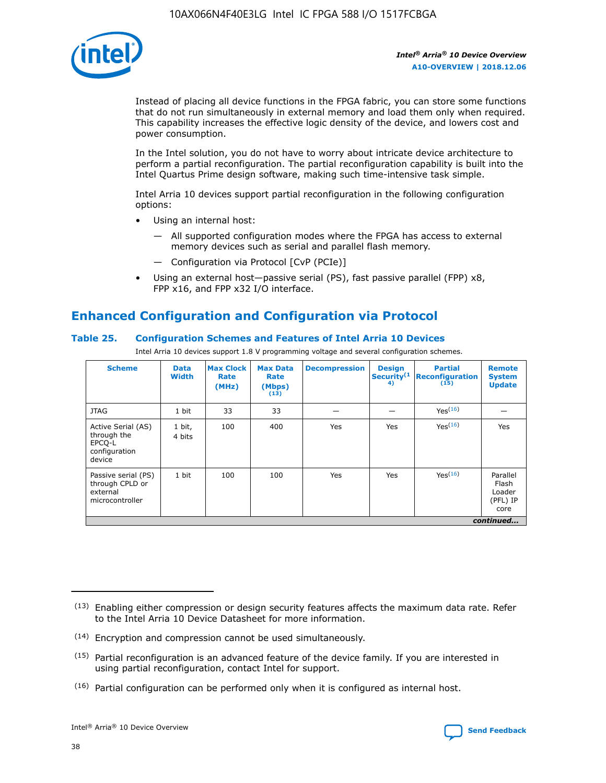

Instead of placing all device functions in the FPGA fabric, you can store some functions that do not run simultaneously in external memory and load them only when required. This capability increases the effective logic density of the device, and lowers cost and power consumption.

In the Intel solution, you do not have to worry about intricate device architecture to perform a partial reconfiguration. The partial reconfiguration capability is built into the Intel Quartus Prime design software, making such time-intensive task simple.

Intel Arria 10 devices support partial reconfiguration in the following configuration options:

- Using an internal host:
	- All supported configuration modes where the FPGA has access to external memory devices such as serial and parallel flash memory.
	- Configuration via Protocol [CvP (PCIe)]
- Using an external host—passive serial (PS), fast passive parallel (FPP) x8, FPP x16, and FPP x32 I/O interface.

# **Enhanced Configuration and Configuration via Protocol**

## **Table 25. Configuration Schemes and Features of Intel Arria 10 Devices**

Intel Arria 10 devices support 1.8 V programming voltage and several configuration schemes.

| <b>Scheme</b>                                                          | <b>Data</b><br><b>Width</b> | <b>Max Clock</b><br>Rate<br>(MHz) | <b>Max Data</b><br>Rate<br>(Mbps)<br>(13) | <b>Decompression</b> | <b>Design</b><br>Security <sup>(1</sup><br>4) | <b>Partial</b><br><b>Reconfiguration</b><br>(15) | <b>Remote</b><br><b>System</b><br><b>Update</b> |
|------------------------------------------------------------------------|-----------------------------|-----------------------------------|-------------------------------------------|----------------------|-----------------------------------------------|--------------------------------------------------|-------------------------------------------------|
| <b>JTAG</b>                                                            | 1 bit                       | 33                                | 33                                        |                      |                                               | Yes <sup>(16)</sup>                              |                                                 |
| Active Serial (AS)<br>through the<br>EPCO-L<br>configuration<br>device | 1 bit,<br>4 bits            | 100                               | 400                                       | Yes                  | Yes                                           | $Y_{PS}(16)$                                     | Yes                                             |
| Passive serial (PS)<br>through CPLD or<br>external<br>microcontroller  | 1 bit                       | 100                               | 100                                       | Yes                  | Yes                                           | Yes(16)                                          | Parallel<br>Flash<br>Loader<br>(PFL) IP<br>core |
|                                                                        | continued                   |                                   |                                           |                      |                                               |                                                  |                                                 |

<sup>(13)</sup> Enabling either compression or design security features affects the maximum data rate. Refer to the Intel Arria 10 Device Datasheet for more information.

<sup>(14)</sup> Encryption and compression cannot be used simultaneously.

 $(15)$  Partial reconfiguration is an advanced feature of the device family. If you are interested in using partial reconfiguration, contact Intel for support.

 $(16)$  Partial configuration can be performed only when it is configured as internal host.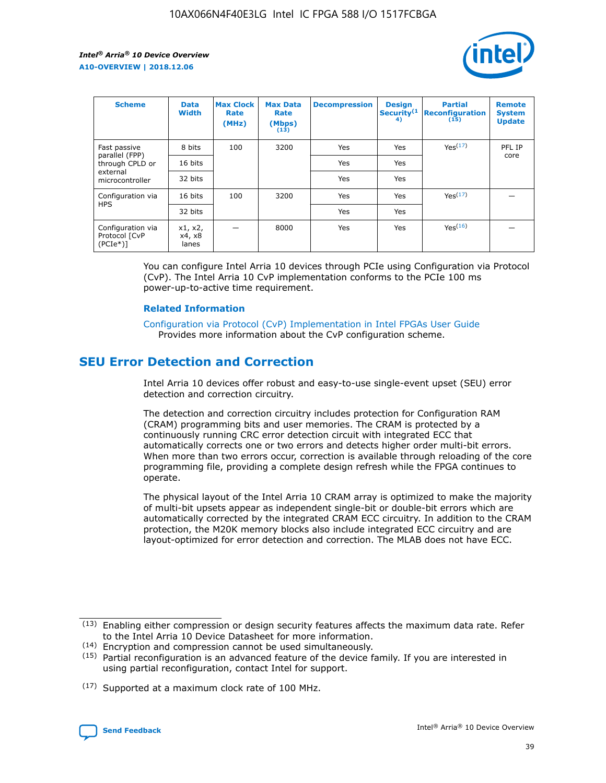

| <b>Scheme</b>                                   | <b>Data</b><br><b>Width</b> | <b>Max Clock</b><br>Rate<br>(MHz) | <b>Max Data</b><br>Rate<br>(Mbps)<br>(13) | <b>Decompression</b> | <b>Design</b><br>Security <sup>(1</sup><br>4) | <b>Partial</b><br><b>Reconfiguration</b><br>(15) | <b>Remote</b><br><b>System</b><br><b>Update</b> |
|-------------------------------------------------|-----------------------------|-----------------------------------|-------------------------------------------|----------------------|-----------------------------------------------|--------------------------------------------------|-------------------------------------------------|
| Fast passive                                    | 8 bits                      | 100                               | 3200                                      | Yes                  | Yes                                           | Yes(17)                                          | PFL IP                                          |
| parallel (FPP)<br>through CPLD or               | 16 bits                     |                                   |                                           | Yes                  | Yes                                           |                                                  | core                                            |
| external<br>microcontroller                     | 32 bits                     |                                   |                                           | Yes                  | Yes                                           |                                                  |                                                 |
| Configuration via                               | 16 bits                     | 100                               | 3200                                      | Yes                  | Yes                                           | Yes <sup>(17)</sup>                              |                                                 |
| <b>HPS</b>                                      | 32 bits                     |                                   |                                           | Yes                  | Yes                                           |                                                  |                                                 |
| Configuration via<br>Protocol [CvP<br>$(PCIe*)$ | x1, x2,<br>x4, x8<br>lanes  |                                   | 8000                                      | Yes                  | Yes                                           | Yes <sup>(16)</sup>                              |                                                 |

You can configure Intel Arria 10 devices through PCIe using Configuration via Protocol (CvP). The Intel Arria 10 CvP implementation conforms to the PCIe 100 ms power-up-to-active time requirement.

#### **Related Information**

[Configuration via Protocol \(CvP\) Implementation in Intel FPGAs User Guide](https://www.intel.com/content/www/us/en/programmable/documentation/dsu1441819344145.html#dsu1442269728522) Provides more information about the CvP configuration scheme.

# **SEU Error Detection and Correction**

Intel Arria 10 devices offer robust and easy-to-use single-event upset (SEU) error detection and correction circuitry.

The detection and correction circuitry includes protection for Configuration RAM (CRAM) programming bits and user memories. The CRAM is protected by a continuously running CRC error detection circuit with integrated ECC that automatically corrects one or two errors and detects higher order multi-bit errors. When more than two errors occur, correction is available through reloading of the core programming file, providing a complete design refresh while the FPGA continues to operate.

The physical layout of the Intel Arria 10 CRAM array is optimized to make the majority of multi-bit upsets appear as independent single-bit or double-bit errors which are automatically corrected by the integrated CRAM ECC circuitry. In addition to the CRAM protection, the M20K memory blocks also include integrated ECC circuitry and are layout-optimized for error detection and correction. The MLAB does not have ECC.

(14) Encryption and compression cannot be used simultaneously.

<sup>(17)</sup> Supported at a maximum clock rate of 100 MHz.



 $(13)$  Enabling either compression or design security features affects the maximum data rate. Refer to the Intel Arria 10 Device Datasheet for more information.

 $(15)$  Partial reconfiguration is an advanced feature of the device family. If you are interested in using partial reconfiguration, contact Intel for support.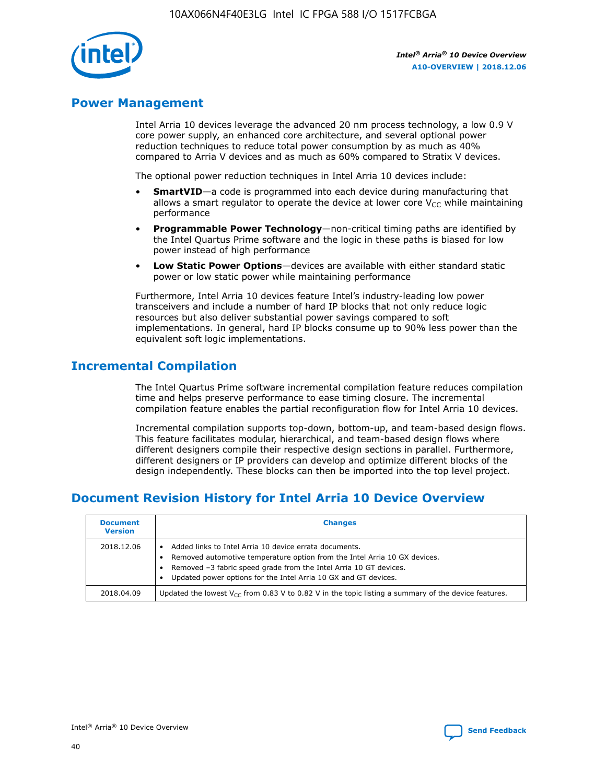

# **Power Management**

Intel Arria 10 devices leverage the advanced 20 nm process technology, a low 0.9 V core power supply, an enhanced core architecture, and several optional power reduction techniques to reduce total power consumption by as much as 40% compared to Arria V devices and as much as 60% compared to Stratix V devices.

The optional power reduction techniques in Intel Arria 10 devices include:

- **SmartVID**—a code is programmed into each device during manufacturing that allows a smart regulator to operate the device at lower core  $V_{CC}$  while maintaining performance
- **Programmable Power Technology**—non-critical timing paths are identified by the Intel Quartus Prime software and the logic in these paths is biased for low power instead of high performance
- **Low Static Power Options**—devices are available with either standard static power or low static power while maintaining performance

Furthermore, Intel Arria 10 devices feature Intel's industry-leading low power transceivers and include a number of hard IP blocks that not only reduce logic resources but also deliver substantial power savings compared to soft implementations. In general, hard IP blocks consume up to 90% less power than the equivalent soft logic implementations.

# **Incremental Compilation**

The Intel Quartus Prime software incremental compilation feature reduces compilation time and helps preserve performance to ease timing closure. The incremental compilation feature enables the partial reconfiguration flow for Intel Arria 10 devices.

Incremental compilation supports top-down, bottom-up, and team-based design flows. This feature facilitates modular, hierarchical, and team-based design flows where different designers compile their respective design sections in parallel. Furthermore, different designers or IP providers can develop and optimize different blocks of the design independently. These blocks can then be imported into the top level project.

# **Document Revision History for Intel Arria 10 Device Overview**

| <b>Document</b><br><b>Version</b> | <b>Changes</b>                                                                                                                                                                                                                                                              |
|-----------------------------------|-----------------------------------------------------------------------------------------------------------------------------------------------------------------------------------------------------------------------------------------------------------------------------|
| 2018.12.06                        | Added links to Intel Arria 10 device errata documents.<br>Removed automotive temperature option from the Intel Arria 10 GX devices.<br>Removed -3 fabric speed grade from the Intel Arria 10 GT devices.<br>Updated power options for the Intel Arria 10 GX and GT devices. |
| 2018.04.09                        | Updated the lowest $V_{CC}$ from 0.83 V to 0.82 V in the topic listing a summary of the device features.                                                                                                                                                                    |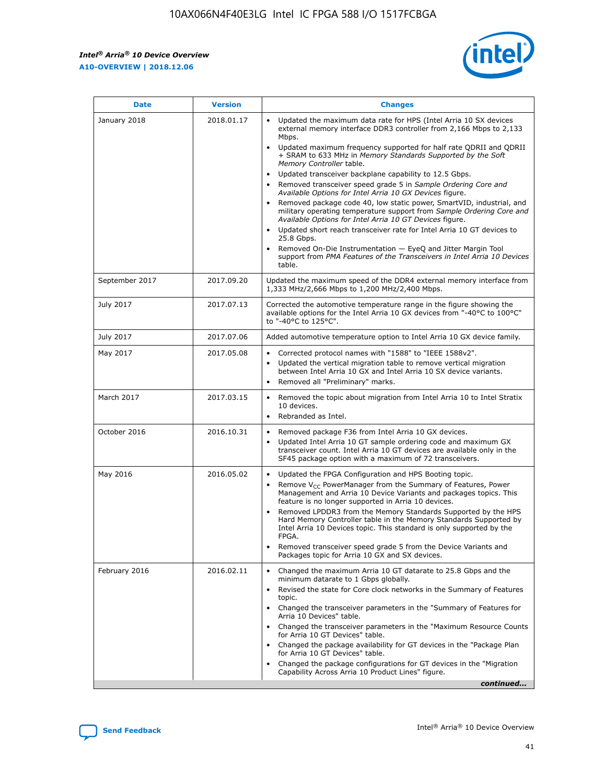

| <b>Date</b>    | <b>Version</b> | <b>Changes</b>                                                                                                                                                                                                                                                                                                                                                                                                                                                                                                                                                                                                                                                                                                                                                                                                                                                                                                                                               |
|----------------|----------------|--------------------------------------------------------------------------------------------------------------------------------------------------------------------------------------------------------------------------------------------------------------------------------------------------------------------------------------------------------------------------------------------------------------------------------------------------------------------------------------------------------------------------------------------------------------------------------------------------------------------------------------------------------------------------------------------------------------------------------------------------------------------------------------------------------------------------------------------------------------------------------------------------------------------------------------------------------------|
| January 2018   | 2018.01.17     | Updated the maximum data rate for HPS (Intel Arria 10 SX devices<br>external memory interface DDR3 controller from 2,166 Mbps to 2,133<br>Mbps.<br>Updated maximum frequency supported for half rate QDRII and QDRII<br>+ SRAM to 633 MHz in Memory Standards Supported by the Soft<br>Memory Controller table.<br>Updated transceiver backplane capability to 12.5 Gbps.<br>Removed transceiver speed grade 5 in Sample Ordering Core and<br>Available Options for Intel Arria 10 GX Devices figure.<br>Removed package code 40, low static power, SmartVID, industrial, and<br>military operating temperature support from Sample Ordering Core and<br>Available Options for Intel Arria 10 GT Devices figure.<br>Updated short reach transceiver rate for Intel Arria 10 GT devices to<br>25.8 Gbps.<br>Removed On-Die Instrumentation - EyeQ and Jitter Margin Tool<br>support from PMA Features of the Transceivers in Intel Arria 10 Devices<br>table. |
| September 2017 | 2017.09.20     | Updated the maximum speed of the DDR4 external memory interface from<br>1,333 MHz/2,666 Mbps to 1,200 MHz/2,400 Mbps.                                                                                                                                                                                                                                                                                                                                                                                                                                                                                                                                                                                                                                                                                                                                                                                                                                        |
| July 2017      | 2017.07.13     | Corrected the automotive temperature range in the figure showing the<br>available options for the Intel Arria 10 GX devices from "-40°C to 100°C"<br>to "-40°C to 125°C".                                                                                                                                                                                                                                                                                                                                                                                                                                                                                                                                                                                                                                                                                                                                                                                    |
| July 2017      | 2017.07.06     | Added automotive temperature option to Intel Arria 10 GX device family.                                                                                                                                                                                                                                                                                                                                                                                                                                                                                                                                                                                                                                                                                                                                                                                                                                                                                      |
| May 2017       | 2017.05.08     | Corrected protocol names with "1588" to "IEEE 1588v2".<br>$\bullet$<br>Updated the vertical migration table to remove vertical migration<br>$\bullet$<br>between Intel Arria 10 GX and Intel Arria 10 SX device variants.<br>Removed all "Preliminary" marks.<br>$\bullet$                                                                                                                                                                                                                                                                                                                                                                                                                                                                                                                                                                                                                                                                                   |
| March 2017     | 2017.03.15     | Removed the topic about migration from Intel Arria 10 to Intel Stratix<br>$\bullet$<br>10 devices.<br>Rebranded as Intel.<br>$\bullet$                                                                                                                                                                                                                                                                                                                                                                                                                                                                                                                                                                                                                                                                                                                                                                                                                       |
| October 2016   | 2016.10.31     | Removed package F36 from Intel Arria 10 GX devices.<br>Updated Intel Arria 10 GT sample ordering code and maximum GX<br>$\bullet$<br>transceiver count. Intel Arria 10 GT devices are available only in the<br>SF45 package option with a maximum of 72 transceivers.                                                                                                                                                                                                                                                                                                                                                                                                                                                                                                                                                                                                                                                                                        |
| May 2016       | 2016.05.02     | Updated the FPGA Configuration and HPS Booting topic.<br>$\bullet$<br>Remove V <sub>CC</sub> PowerManager from the Summary of Features, Power<br>Management and Arria 10 Device Variants and packages topics. This<br>feature is no longer supported in Arria 10 devices.<br>Removed LPDDR3 from the Memory Standards Supported by the HPS<br>Hard Memory Controller table in the Memory Standards Supported by<br>Intel Arria 10 Devices topic. This standard is only supported by the<br><b>FPGA</b><br>Removed transceiver speed grade 5 from the Device Variants and<br>Packages topic for Arria 10 GX and SX devices.                                                                                                                                                                                                                                                                                                                                   |
| February 2016  | 2016.02.11     | Changed the maximum Arria 10 GT datarate to 25.8 Gbps and the<br>$\bullet$<br>minimum datarate to 1 Gbps globally.<br>Revised the state for Core clock networks in the Summary of Features<br>$\bullet$<br>topic.<br>Changed the transceiver parameters in the "Summary of Features for<br>$\bullet$<br>Arria 10 Devices" table.<br>Changed the transceiver parameters in the "Maximum Resource Counts<br>for Arria 10 GT Devices" table.<br>Changed the package availability for GT devices in the "Package Plan<br>for Arria 10 GT Devices" table.<br>Changed the package configurations for GT devices in the "Migration"<br>Capability Across Arria 10 Product Lines" figure.<br>continued                                                                                                                                                                                                                                                               |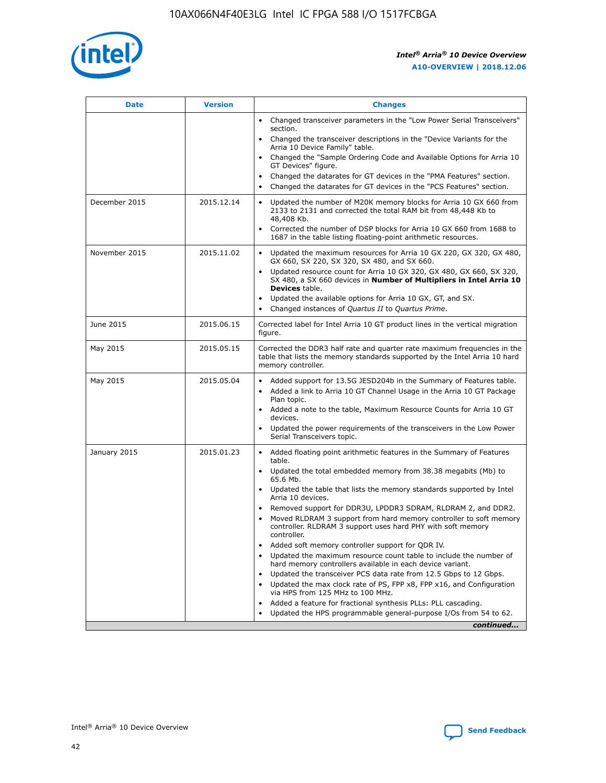

| <b>Date</b>   | <b>Version</b> | <b>Changes</b>                                                                                                                                                               |
|---------------|----------------|------------------------------------------------------------------------------------------------------------------------------------------------------------------------------|
|               |                | • Changed transceiver parameters in the "Low Power Serial Transceivers"<br>section.                                                                                          |
|               |                | • Changed the transceiver descriptions in the "Device Variants for the<br>Arria 10 Device Family" table.                                                                     |
|               |                | Changed the "Sample Ordering Code and Available Options for Arria 10<br>$\bullet$<br>GT Devices" figure.                                                                     |
|               |                | Changed the datarates for GT devices in the "PMA Features" section.                                                                                                          |
|               |                | Changed the datarates for GT devices in the "PCS Features" section.<br>$\bullet$                                                                                             |
| December 2015 | 2015.12.14     | Updated the number of M20K memory blocks for Arria 10 GX 660 from<br>2133 to 2131 and corrected the total RAM bit from 48,448 Kb to<br>48,408 Kb.                            |
|               |                | Corrected the number of DSP blocks for Arria 10 GX 660 from 1688 to<br>1687 in the table listing floating-point arithmetic resources.                                        |
| November 2015 | 2015.11.02     | Updated the maximum resources for Arria 10 GX 220, GX 320, GX 480,<br>$\bullet$<br>GX 660, SX 220, SX 320, SX 480, and SX 660.                                               |
|               |                | • Updated resource count for Arria 10 GX 320, GX 480, GX 660, SX 320,<br>SX 480, a SX 660 devices in Number of Multipliers in Intel Arria 10<br><b>Devices</b> table.        |
|               |                | Updated the available options for Arria 10 GX, GT, and SX.                                                                                                                   |
|               |                | Changed instances of Quartus II to Quartus Prime.<br>$\bullet$                                                                                                               |
| June 2015     | 2015.06.15     | Corrected label for Intel Arria 10 GT product lines in the vertical migration<br>figure.                                                                                     |
| May 2015      | 2015.05.15     | Corrected the DDR3 half rate and quarter rate maximum frequencies in the<br>table that lists the memory standards supported by the Intel Arria 10 hard<br>memory controller. |
| May 2015      | 2015.05.04     | • Added support for 13.5G JESD204b in the Summary of Features table.<br>• Added a link to Arria 10 GT Channel Usage in the Arria 10 GT Package<br>Plan topic.                |
|               |                | • Added a note to the table, Maximum Resource Counts for Arria 10 GT<br>devices.                                                                                             |
|               |                | • Updated the power requirements of the transceivers in the Low Power<br>Serial Transceivers topic.                                                                          |
| January 2015  | 2015.01.23     | • Added floating point arithmetic features in the Summary of Features<br>table.                                                                                              |
|               |                | • Updated the total embedded memory from 38.38 megabits (Mb) to<br>65.6 Mb.                                                                                                  |
|               |                | • Updated the table that lists the memory standards supported by Intel<br>Arria 10 devices.                                                                                  |
|               |                | Removed support for DDR3U, LPDDR3 SDRAM, RLDRAM 2, and DDR2.                                                                                                                 |
|               |                | Moved RLDRAM 3 support from hard memory controller to soft memory<br>controller. RLDRAM 3 support uses hard PHY with soft memory<br>controller.                              |
|               |                | Added soft memory controller support for QDR IV.<br>٠                                                                                                                        |
|               |                | Updated the maximum resource count table to include the number of<br>hard memory controllers available in each device variant.                                               |
|               |                | Updated the transceiver PCS data rate from 12.5 Gbps to 12 Gbps.<br>$\bullet$                                                                                                |
|               |                | Updated the max clock rate of PS, FPP x8, FPP x16, and Configuration<br>via HPS from 125 MHz to 100 MHz.                                                                     |
|               |                | Added a feature for fractional synthesis PLLs: PLL cascading.                                                                                                                |
|               |                | Updated the HPS programmable general-purpose I/Os from 54 to 62.<br>$\bullet$<br>continued                                                                                   |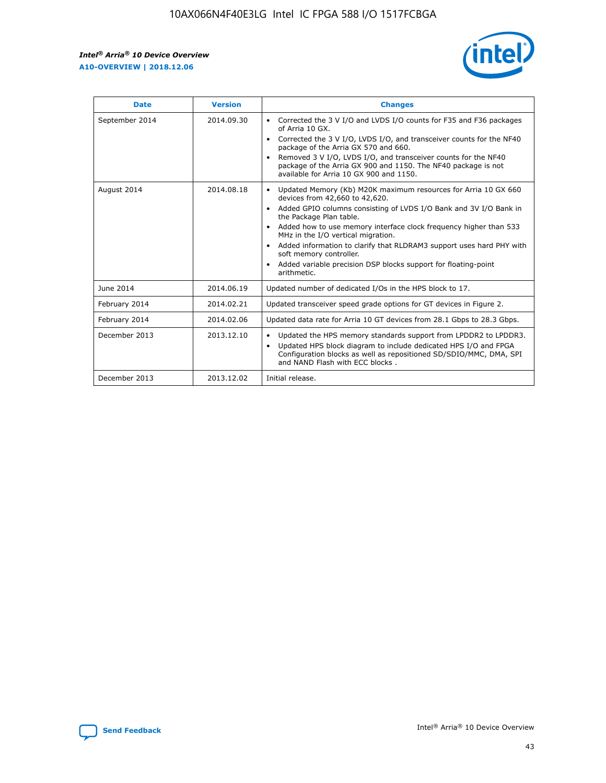r



| <b>Date</b>    | <b>Version</b> | <b>Changes</b>                                                                                                                                                                                                                                                                                                                                                                                                                                                                                                                                      |
|----------------|----------------|-----------------------------------------------------------------------------------------------------------------------------------------------------------------------------------------------------------------------------------------------------------------------------------------------------------------------------------------------------------------------------------------------------------------------------------------------------------------------------------------------------------------------------------------------------|
| September 2014 | 2014.09.30     | Corrected the 3 V I/O and LVDS I/O counts for F35 and F36 packages<br>$\bullet$<br>of Arria 10 GX.<br>Corrected the 3 V I/O, LVDS I/O, and transceiver counts for the NF40<br>$\bullet$<br>package of the Arria GX 570 and 660.<br>Removed 3 V I/O, LVDS I/O, and transceiver counts for the NF40<br>$\bullet$<br>package of the Arria GX 900 and 1150. The NF40 package is not<br>available for Arria 10 GX 900 and 1150.                                                                                                                          |
| August 2014    | 2014.08.18     | Updated Memory (Kb) M20K maximum resources for Arria 10 GX 660<br>devices from 42,660 to 42,620.<br>Added GPIO columns consisting of LVDS I/O Bank and 3V I/O Bank in<br>$\bullet$<br>the Package Plan table.<br>Added how to use memory interface clock frequency higher than 533<br>$\bullet$<br>MHz in the I/O vertical migration.<br>Added information to clarify that RLDRAM3 support uses hard PHY with<br>$\bullet$<br>soft memory controller.<br>Added variable precision DSP blocks support for floating-point<br>$\bullet$<br>arithmetic. |
| June 2014      | 2014.06.19     | Updated number of dedicated I/Os in the HPS block to 17.                                                                                                                                                                                                                                                                                                                                                                                                                                                                                            |
| February 2014  | 2014.02.21     | Updated transceiver speed grade options for GT devices in Figure 2.                                                                                                                                                                                                                                                                                                                                                                                                                                                                                 |
| February 2014  | 2014.02.06     | Updated data rate for Arria 10 GT devices from 28.1 Gbps to 28.3 Gbps.                                                                                                                                                                                                                                                                                                                                                                                                                                                                              |
| December 2013  | 2013.12.10     | Updated the HPS memory standards support from LPDDR2 to LPDDR3.<br>Updated HPS block diagram to include dedicated HPS I/O and FPGA<br>$\bullet$<br>Configuration blocks as well as repositioned SD/SDIO/MMC, DMA, SPI<br>and NAND Flash with ECC blocks.                                                                                                                                                                                                                                                                                            |
| December 2013  | 2013.12.02     | Initial release.                                                                                                                                                                                                                                                                                                                                                                                                                                                                                                                                    |